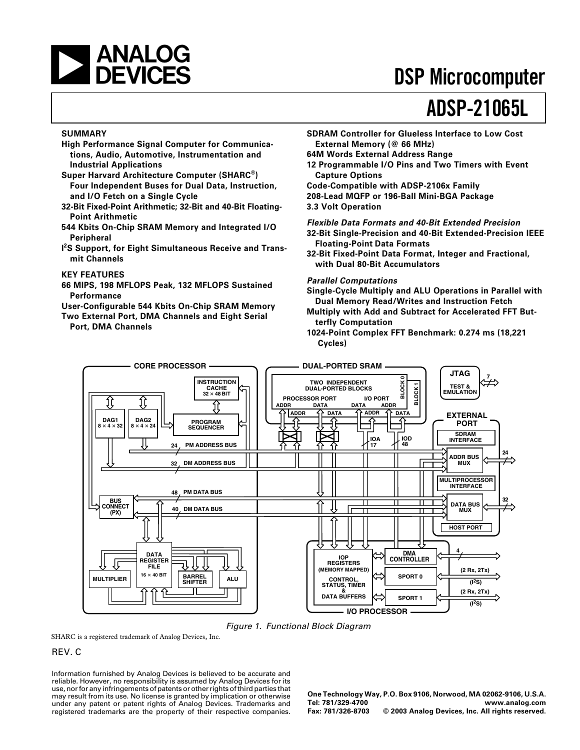

## **DSP Microcomputer**

# **ADSP-21065L**

### **SUMMARY**

- **High Performance Signal Computer for Communications, Audio, Automotive, Instrumentation and Industrial Applications**
- **Super Harvard Architecture Computer (SHARC®) Four Independent Buses for Dual Data, Instruction, and I/O Fetch on a Single Cycle**
- **32-Bit Fixed-Point Arithmetic; 32-Bit and 40-Bit Floating-Point Arithmetic**
- **544 Kbits On-Chip SRAM Memory and Integrated I/O Peripheral**
- **I 2S Support, for Eight Simultaneous Receive and Transmit Channels**

#### **KEY FEATURES**

**66 MIPS, 198 MFLOPS Peak, 132 MFLOPS Sustained Performance**

**User-Configurable 544 Kbits On-Chip SRAM Memory Two External Port, DMA Channels and Eight Serial**

**Port, DMA Channels**

**SDRAM Controller for Glueless Interface to Low Cost External Memory (@ 66 MHz)**

**64M Words External Address Range**

- **12 Programmable I/O Pins and Two Timers with Event Capture Options**
- **Code-Compatible with ADSP-2106x Family 208-Lead MQFP or 196-Ball Mini-BGA Package 3.3 Volt Operation**

**Flexible Data Formats and 40-Bit Extended Precision 32-Bit Single-Precision and 40-Bit Extended-Precision IEEE**

- **Floating-Point Data Formats 32-Bit Fixed-Point Data Format, Integer and Fractional,**
	- **with Dual 80-Bit Accumulators**

#### **Parallel Computations**

- **Single-Cycle Multiply and ALU Operations in Parallel with Dual Memory Read/Writes and Instruction Fetch**
- **Multiply with Add and Subtract for Accelerated FFT Butterfly Computation**
- **1024-Point Complex FFT Benchmark: 0.274 ms (18,221 Cycles)**



Figure 1. Functional Block Diagram

SHARC is a registered trademark of Analog Devices, Inc.

### REV. C

Information furnished by Analog Devices is believed to be accurate and reliable. However, no responsibility is assumed by Analog Devices for its use, nor for any infringements of patents or other rights of third parties that may result from its use. No license is granted by implication or otherwise under any patent or patent rights of Analog Devices. Trademarks and registered trademarks are the property of their respective companies.

**One Technology Way, P.O. Box 9106, Norwood, MA 02062-9106, U.S.A. Tel: 781/329-4700 [www.analog.com](http://www.analog.com)**  $©$  2003 Analog Devices, Inc. All rights reserved.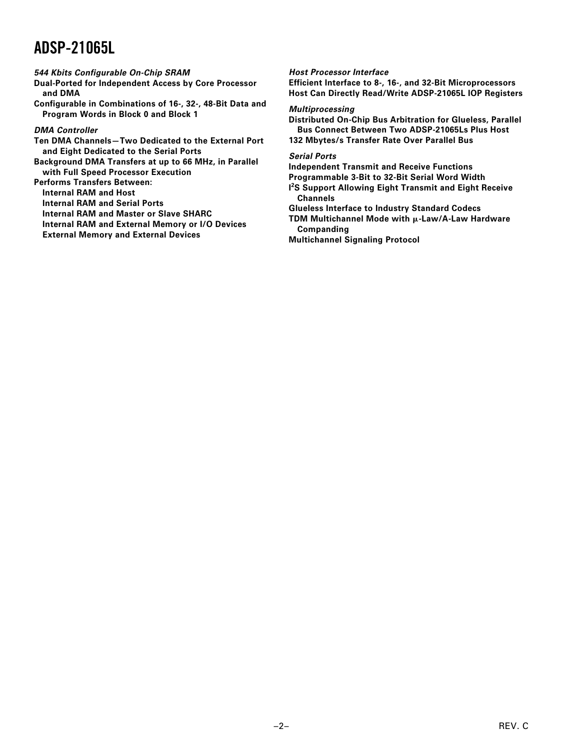### **544 Kbits Configurable On-Chip SRAM**

**Dual-Ported for Independent Access by Core Processor and DMA**

**Configurable in Combinations of 16-, 32-, 48-Bit Data and Program Words in Block 0 and Block 1**

### **DMA Controller**

**Ten DMA Channels—Two Dedicated to the External Port and Eight Dedicated to the Serial Ports Background DMA Transfers at up to 66 MHz, in Parallel**

**with Full Speed Processor Execution**

**Performs Transfers Between:**

**Internal RAM and Host**

**Internal RAM and Serial Ports**

**Internal RAM and Master or Slave SHARC**

**Internal RAM and External Memory or I/O Devices**

**External Memory and External Devices**

### **Host Processor Interface**

**Efficient Interface to 8-, 16-, and 32-Bit Microprocessors Host Can Directly Read/Write ADSP-21065L IOP Registers**

#### **Multiprocessing**

**Distributed On-Chip Bus Arbitration for Glueless, Parallel Bus Connect Between Two ADSP-21065Ls Plus Host**

**132 Mbytes/s Transfer Rate Over Parallel Bus**

### **Serial Ports**

**Independent Transmit and Receive Functions**

**Programmable 3-Bit to 32-Bit Serial Word Width**

**I 2S Support Allowing Eight Transmit and Eight Receive Channels**

**Glueless Interface to Industry Standard Codecs**

**TDM Multichannel Mode with**  $\mu$ **-Law/A-Law Hardware Companding**

**Multichannel Signaling Protocol**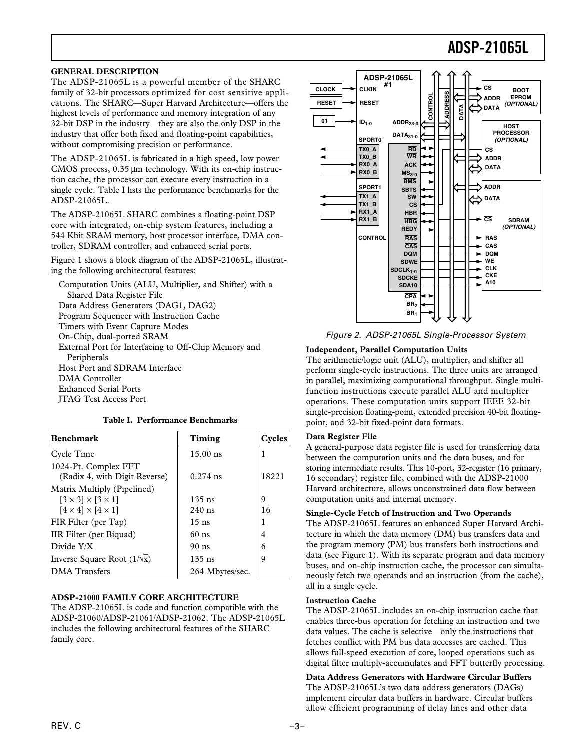### **GENERAL DESCRIPTION**

The ADSP-21065L is a powerful member of the SHARC family of 32-bit processors optimized for cost sensitive applications. The SHARC—Super Harvard Architecture—offers the highest levels of performance and memory integration of any 32-bit DSP in the industry—they are also the only DSP in the industry that offer both fixed and floating-point capabilities, without compromising precision or performance.

The ADSP-21065L is fabricated in a high speed, low power CMOS process,  $0.35 \mu m$  technology. With its on-chip instruction cache, the processor can execute every instruction in a single cycle. Table I lists the performance benchmarks for the ADSP-21065L.

The ADSP-21065L SHARC combines a floating-point DSP core with integrated, on-chip system features, including a 544 Kbit SRAM memory, host processor interface, DMA controller, SDRAM controller, and enhanced serial ports.

Figure 1 shows a block diagram of the ADSP-21065L, illustrating the following architectural features:

Computation Units (ALU, Multiplier, and Shifter) with a Shared Data Register File Data Address Generators (DAG1, DAG2) Program Sequencer with Instruction Cache Timers with Event Capture Modes On-Chip, dual-ported SRAM External Port for Interfacing to Off-Chip Memory and Peripherals Host Port and SDRAM Interface DMA Controller Enhanced Serial Ports JTAG Test Access Port

### **Table I. Performance Benchmarks**

| <b>Benchmark</b>                                                                                        | Timing               | Cycles  |
|---------------------------------------------------------------------------------------------------------|----------------------|---------|
| Cycle Time                                                                                              | $15.00$ ns           | 1       |
| 1024-Pt. Complex FFT<br>(Radix 4, with Digit Reverse)                                                   | $0.274$ ns           | 18221   |
| Matrix Multiply (Pipelined)<br>$[3 \times 3] \times [3 \times 1]$<br>$[4 \times 4] \times [4 \times 1]$ | $135$ ns<br>$240$ ns | 9<br>16 |
| FIR Filter (per Tap)                                                                                    | $15$ ns              |         |
| IIR Filter (per Biquad)                                                                                 | $60$ ns              | 4       |
| Divide Y/X                                                                                              | $90$ ns              | 6       |
| Inverse Square Root $(1/\sqrt{x})$                                                                      | $135$ ns             | 9       |
| <b>DMA</b> Transfers                                                                                    | 264 Mbytes/sec.      |         |

#### **ADSP-21000 FAMILY CORE ARCHITECTURE**

The ADSP-21065L is code and function compatible with the ADSP-21060/ADSP-21061/ADSP-21062. The ADSP-21065L includes the following architectural features of the SHARC family core.



Figure 2. ADSP-21065L Single-Processor System

### **Independent, Parallel Computation Units**

The arithmetic/logic unit (ALU), multiplier, and shifter all perform single-cycle instructions. The three units are arranged in parallel, maximizing computational throughput. Single multifunction instructions execute parallel ALU and multiplier operations. These computation units support IEEE 32-bit single-precision floating-point, extended precision 40-bit floatingpoint, and 32-bit fixed-point data formats.

### **Data Register File**

A general-purpose data register file is used for transferring data between the computation units and the data buses, and for storing intermediate results. This 10-port, 32-register (16 primary, 16 secondary) register file, combined with the ADSP-21000 Harvard architecture, allows unconstrained data flow between computation units and internal memory.

#### **Single-Cycle Fetch of Instruction and Two Operands**

The ADSP-21065L features an enhanced Super Harvard Architecture in which the data memory (DM) bus transfers data and the program memory (PM) bus transfers both instructions and data (see Figure 1). With its separate program and data memory buses, and on-chip instruction cache, the processor can simultaneously fetch two operands and an instruction (from the cache), all in a single cycle.

#### **Instruction Cache**

The ADSP-21065L includes an on-chip instruction cache that enables three-bus operation for fetching an instruction and two data values. The cache is selective—only the instructions that fetches conflict with PM bus data accesses are cached. This allows full-speed execution of core, looped operations such as digital filter multiply-accumulates and FFT butterfly processing.

**Data Address Generators with Hardware Circular Buffers** The ADSP-21065L's two data address generators (DAGs) implement circular data buffers in hardware. Circular buffers allow efficient programming of delay lines and other data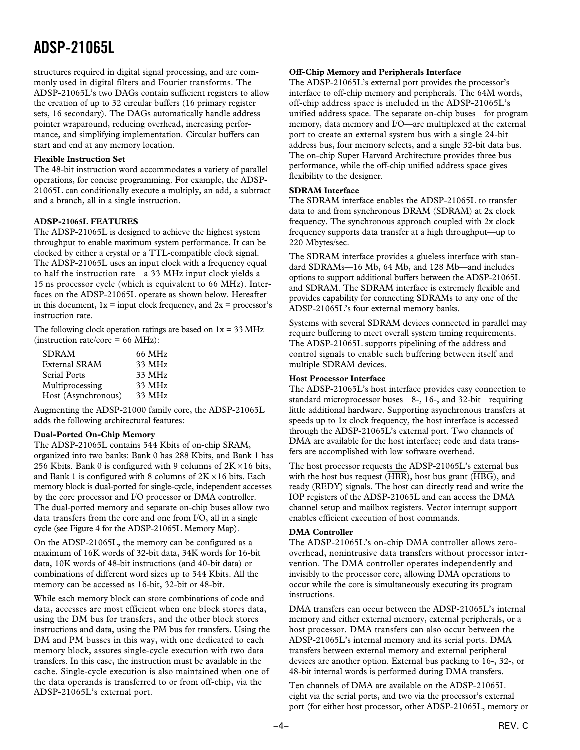structures required in digital signal processing, and are commonly used in digital filters and Fourier transforms. The ADSP-21065L's two DAGs contain sufficient registers to allow the creation of up to 32 circular buffers (16 primary register sets, 16 secondary). The DAGs automatically handle address pointer wraparound, reducing overhead, increasing performance, and simplifying implementation. Circular buffers can start and end at any memory location.

### **Flexible Instruction Set**

The 48-bit instruction word accommodates a variety of parallel operations, for concise programming. For example, the ADSP-21065L can conditionally execute a multiply, an add, a subtract and a branch, all in a single instruction.

### **ADSP-21065L FEATURES**

The ADSP-21065L is designed to achieve the highest system throughput to enable maximum system performance. It can be clocked by either a crystal or a TTL-compatible clock signal. The ADSP-21065L uses an input clock with a frequency equal to half the instruction rate—a 33 MHz input clock yields a 15 ns processor cycle (which is equivalent to 66 MHz). Interfaces on the ADSP-21065L operate as shown below. Hereafter in this document,  $1x = input clock frequency$ , and  $2x = processor's$ instruction rate.

The following clock operation ratings are based on  $1x = 33 \text{ MHz}$  $(instruction rate/core = 66 MHz):$ 

| <b>SDRAM</b>         | 66 MHz |
|----------------------|--------|
| <b>External SRAM</b> | 33 MHz |
| Serial Ports         | 33 MHz |
| Multiprocessing      | 33 MHz |
| Host (Asynchronous)  | 33 MHz |

Augmenting the ADSP-21000 family core, the ADSP-21065L adds the following architectural features:

### **Dual-Ported On-Chip Memory**

The ADSP-21065L contains 544 Kbits of on-chip SRAM, organized into two banks: Bank 0 has 288 Kbits, and Bank 1 has 256 Kbits. Bank 0 is configured with 9 columns of  $2K \times 16$  bits, and Bank 1 is configured with 8 columns of  $2K \times 16$  bits. Each memory block is dual-ported for single-cycle, independent accesses by the core processor and I/O processor or DMA controller. The dual-ported memory and separate on-chip buses allow two data transfers from the core and one from I/O, all in a single cycle (see Figure 4 for the ADSP-21065L Memory Map).

On the ADSP-21065L, the memory can be configured as a maximum of 16K words of 32-bit data, 34K words for 16-bit data, 10K words of 48-bit instructions (and 40-bit data) or combinations of different word sizes up to 544 Kbits. All the memory can be accessed as 16-bit, 32-bit or 48-bit.

While each memory block can store combinations of code and data, accesses are most efficient when one block stores data, using the DM bus for transfers, and the other block stores instructions and data, using the PM bus for transfers. Using the DM and PM busses in this way, with one dedicated to each memory block, assures single-cycle execution with two data transfers. In this case, the instruction must be available in the cache. Single-cycle execution is also maintained when one of the data operands is transferred to or from off-chip, via the ADSP-21065L's external port.

#### **Off-Chip Memory and Peripherals Interface**

The ADSP-21065L's external port provides the processor's interface to off-chip memory and peripherals. The 64M words, off-chip address space is included in the ADSP-21065L's unified address space. The separate on-chip buses—for program memory, data memory and I/O—are multiplexed at the external port to create an external system bus with a single 24-bit address bus, four memory selects, and a single 32-bit data bus. The on-chip Super Harvard Architecture provides three bus performance, while the off-chip unified address space gives flexibility to the designer.

### **SDRAM Interface**

The SDRAM interface enables the ADSP-21065L to transfer data to and from synchronous DRAM (SDRAM) at 2x clock frequency. The synchronous approach coupled with 2x clock frequency supports data transfer at a high throughput—up to 220 Mbytes/sec.

The SDRAM interface provides a glueless interface with standard SDRAMs—16 Mb, 64 Mb, and 128 Mb—and includes options to support additional buffers between the ADSP-21065L and SDRAM. The SDRAM interface is extremely flexible and provides capability for connecting SDRAMs to any one of the ADSP-21065L's four external memory banks.

Systems with several SDRAM devices connected in parallel may require buffering to meet overall system timing requirements. The ADSP-21065L supports pipelining of the address and control signals to enable such buffering between itself and multiple SDRAM devices.

### **Host Processor Interface**

The ADSP-21065L's host interface provides easy connection to standard microprocessor buses—8-, 16-, and 32-bit—requiring little additional hardware. Supporting asynchronous transfers at speeds up to 1x clock frequency, the host interface is accessed through the ADSP-21065L's external port. Two channels of DMA are available for the host interface; code and data transfers are accomplished with low software overhead.

The host processor requests the ADSP-21065L's external bus with the host bus request (*HBR*), host bus grant (*HBG*), and ready (REDY) signals. The host can directly read and write the IOP registers of the ADSP-21065L and can access the DMA channel setup and mailbox registers. Vector interrupt support enables efficient execution of host commands.

### **DMA Controller**

The ADSP-21065L's on-chip DMA controller allows zerooverhead, nonintrusive data transfers without processor intervention. The DMA controller operates independently and invisibly to the processor core, allowing DMA operations to occur while the core is simultaneously executing its program instructions.

DMA transfers can occur between the ADSP-21065L's internal memory and either external memory, external peripherals, or a host processor. DMA transfers can also occur between the ADSP-21065L's internal memory and its serial ports. DMA transfers between external memory and external peripheral devices are another option. External bus packing to 16-, 32-, or 48-bit internal words is performed during DMA transfers.

Ten channels of DMA are available on the ADSP-21065L eight via the serial ports, and two via the processor's external port (for either host processor, other ADSP-21065L, memory or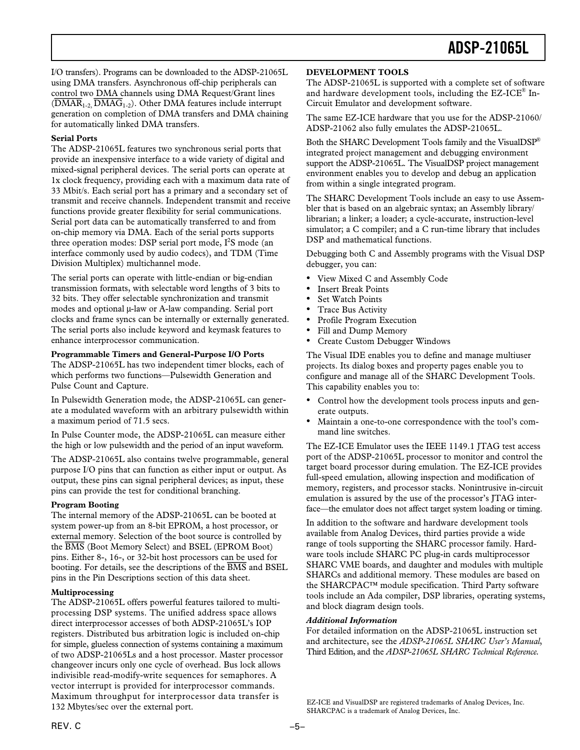I/O transfers). Programs can be downloaded to the ADSP-21065L using DMA transfers. Asynchronous off-chip peripherals can control two DMA channels using DMA Request/Grant lines (*DMAR*1-2, *DMAG*1-2). Other DMA features include interrupt generation on completion of DMA transfers and DMA chaining for automatically linked DMA transfers.

### **Serial Ports**

The ADSP-21065L features two synchronous serial ports that provide an inexpensive interface to a wide variety of digital and mixed-signal peripheral devices. The serial ports can operate at 1x clock frequency, providing each with a maximum data rate of 33 Mbit/s. Each serial port has a primary and a secondary set of transmit and receive channels. Independent transmit and receive functions provide greater flexibility for serial communications. Serial port data can be automatically transferred to and from on-chip memory via DMA. Each of the serial ports supports three operation modes: DSP serial port mode,  $I^2S$  mode (an interface commonly used by audio codecs), and TDM (Time Division Multiplex) multichannel mode.

The serial ports can operate with little-endian or big-endian transmission formats, with selectable word lengths of 3 bits to 32 bits. They offer selectable synchronization and transmit modes and optional  $\mu$ -law or A-law companding. Serial port clocks and frame syncs can be internally or externally generated. The serial ports also include keyword and keymask features to enhance interprocessor communication.

### **Programmable Timers and General-Purpose I/O Ports**

The ADSP-21065L has two independent timer blocks, each of which performs two functions—Pulsewidth Generation and Pulse Count and Capture.

In Pulsewidth Generation mode, the ADSP-21065L can generate a modulated waveform with an arbitrary pulsewidth within a maximum period of 71.5 secs.

In Pulse Counter mode, the ADSP-21065L can measure either the high or low pulsewidth and the period of an input waveform.

The ADSP-21065L also contains twelve programmable, general purpose I/O pins that can function as either input or output. As output, these pins can signal peripheral devices; as input, these pins can provide the test for conditional branching.

### **Program Booting**

The internal memory of the ADSP-21065L can be booted at system power-up from an 8-bit EPROM, a host processor, or external memory. Selection of the boot source is controlled by the *BMS* (Boot Memory Select) and BSEL (EPROM Boot) pins. Either 8-, 16-, or 32-bit host processors can be used for booting. For details, see the descriptions of the *BMS* and BSEL pins in the Pin Descriptions section of this data sheet.

### **Multiprocessing**

The ADSP-21065L offers powerful features tailored to multiprocessing DSP systems. The unified address space allows direct interprocessor accesses of both ADSP-21065L's IOP registers. Distributed bus arbitration logic is included on-chip for simple, glueless connection of systems containing a maximum of two ADSP-21065Ls and a host processor. Master processor changeover incurs only one cycle of overhead. Bus lock allows indivisible read-modify-write sequences for semaphores. A vector interrupt is provided for interprocessor commands. Maximum throughput for interprocessor data transfer is 132 Mbytes/sec over the external port.

### **DEVELOPMENT TOOLS**

The ADSP-21065L is supported with a complete set of software and hardware development tools, including the EZ-ICE® In-Circuit Emulator and development software.

The same EZ-ICE hardware that you use for the ADSP-21060/ ADSP-21062 also fully emulates the ADSP-21065L.

Both the SHARC Development Tools family and the VisualDSP® integrated project management and debugging environment support the ADSP-21065L. The VisualDSP project management environment enables you to develop and debug an application from within a single integrated program.

The SHARC Development Tools include an easy to use Assembler that is based on an algebraic syntax; an Assembly library/ librarian; a linker; a loader; a cycle-accurate, instruction-level simulator; a C compiler; and a C run-time library that includes DSP and mathematical functions.

Debugging both C and Assembly programs with the Visual DSP debugger, you can:

- View Mixed C and Assembly Code
- Insert Break Points
- Set Watch Points
- Trace Bus Activity
- Profile Program Execution
- Fill and Dump Memory
- Create Custom Debugger Windows

The Visual IDE enables you to define and manage multiuser projects. Its dialog boxes and property pages enable you to configure and manage all of the SHARC Development Tools. This capability enables you to:

- Control how the development tools process inputs and generate outputs.
- Maintain a one-to-one correspondence with the tool's command line switches.

The EZ-ICE Emulator uses the IEEE 1149.1 JTAG test access port of the ADSP-21065L processor to monitor and control the target board processor during emulation. The EZ-ICE provides full-speed emulation, allowing inspection and modification of memory, registers, and processor stacks. Nonintrusive in-circuit emulation is assured by the use of the processor's JTAG interface—the emulator does not affect target system loading or timing.

In addition to the software and hardware development tools available from Analog Devices, third parties provide a wide range of tools supporting the SHARC processor family. Hardware tools include SHARC PC plug-in cards multiprocessor SHARC VME boards, and daughter and modules with multiple SHARCs and additional memory. These modules are based on the SHARCPAC™ module specification. Third Party software tools include an Ada compiler, DSP libraries, operating systems, and block diagram design tools.

### *Additional Information*

For detailed information on the ADSP-21065L instruction set and architecture, see the *ADSP-21065L SHARC User's Manual*, Third Edition, and the *ADSP-21065L SHARC Technical Reference.*

EZ-ICE and VisualDSP are registered trademarks of Analog Devices, Inc. SHARCPAC is a trademark of Analog Devices, Inc.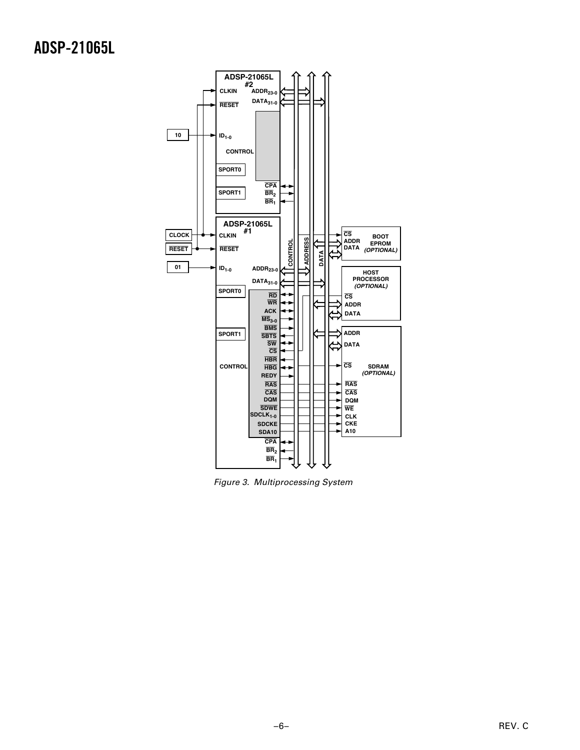

Figure 3. Multiprocessing System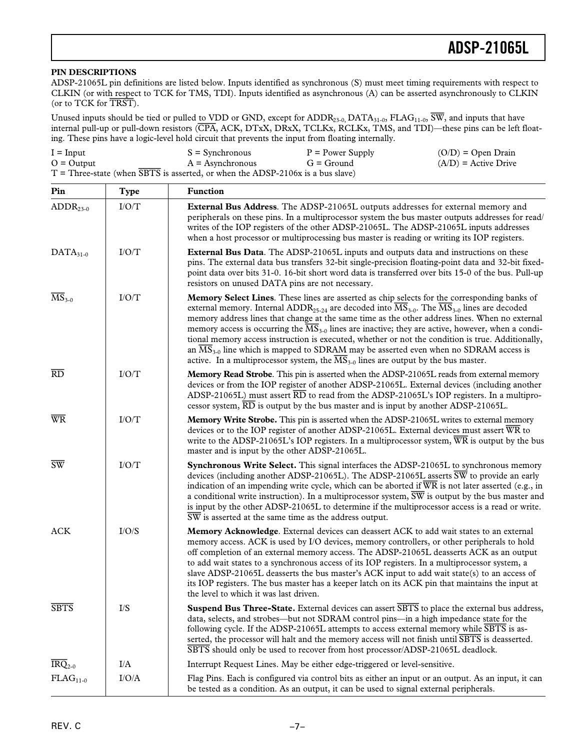### **PIN DESCRIPTIONS**

ADSP-21065L pin definitions are listed below. Inputs identified as synchronous (S) must meet timing requirements with respect to CLKIN (or with respect to TCK for TMS, TDI). Inputs identified as asynchronous (A) can be asserted asynchronously to CLKIN (or to TCK for *TRST*).

Unused inputs should be tied or pulled to VDD or GND, except for ADDR<sub>23-0</sub>, DATA<sub>31-0</sub>, FLAG<sub>11-0</sub>,  $\overline{SW}$ , and inputs that have internal pull-up or pull-down resistors (*CPA*, ACK, DTxX, DRxX, TCLKx, RCLKx, TMS, and TDI)—these pins can be left floating. These pins have a logic-level hold circuit that prevents the input from floating internally.

| $I = Input$                                                                      | $S =$ Synchronous  | $P = Power$ Supply | $(O/D) = Open Drain$   |
|----------------------------------------------------------------------------------|--------------------|--------------------|------------------------|
| $O =$ Output                                                                     | $A =$ Asynchronous | $G =$ Ground       | $(A/D)$ = Active Drive |
| $T =$ Three-state (when SBTS is asserted, or when the ADSP-2106x is a bus slave) |                    |                    |                        |

| Pin                           | <b>Type</b>               | Function                                                                                                                                                                                                                                                                                                                                                                                                                                                                                                                                                                                                                                                                                                                                                                                     |
|-------------------------------|---------------------------|----------------------------------------------------------------------------------------------------------------------------------------------------------------------------------------------------------------------------------------------------------------------------------------------------------------------------------------------------------------------------------------------------------------------------------------------------------------------------------------------------------------------------------------------------------------------------------------------------------------------------------------------------------------------------------------------------------------------------------------------------------------------------------------------|
| $ADDR23-0$                    | $\rm I/O/T$               | External Bus Address. The ADSP-21065L outputs addresses for external memory and<br>peripherals on these pins. In a multiprocessor system the bus master outputs addresses for read/<br>writes of the IOP registers of the other ADSP-21065L. The ADSP-21065L inputs addresses<br>when a host processor or multiprocessing bus master is reading or writing its IOP registers.                                                                                                                                                                                                                                                                                                                                                                                                                |
| $DATA31-0$                    | $\rm I/O/T$               | <b>External Bus Data</b> . The ADSP-21065L inputs and outputs data and instructions on these<br>pins. The external data bus transfers 32-bit single-precision floating-point data and 32-bit fixed-<br>point data over bits 31-0. 16-bit short word data is transferred over bits 15-0 of the bus. Pull-up<br>resistors on unused DATA pins are not necessary.                                                                                                                                                                                                                                                                                                                                                                                                                               |
| $\overline{\text{MS}}_{3-0}$  | $\rm I/O/T$               | Memory Select Lines. These lines are asserted as chip selects for the corresponding banks of<br>external memory. Internal ADDR <sub>25-24</sub> are decoded into $\overline{\text{MS}}_{3-0}$ . The $\overline{\text{MS}}_{3-0}$ lines are decoded<br>memory address lines that change at the same time as the other address lines. When no external<br>memory access is occurring the $\overline{\text{MS}}_{3-0}$ lines are inactive; they are active, however, when a condi-<br>tional memory access instruction is executed, whether or not the condition is true. Additionally,<br>an $MS_{3-0}$ line which is mapped to SDRAM may be asserted even when no SDRAM access is<br>active. In a multiprocessor system, the $\overline{\text{MS}}_{3-0}$ lines are output by the bus master. |
| $\overline{RD}$               | I/O/T                     | Memory Read Strobe. This pin is asserted when the ADSP-21065L reads from external memory<br>devices or from the IOP register of another ADSP-21065L. External devices (including another<br>ADSP-21065L) must assert $\overline{\text{RD}}$ to read from the ADSP-21065L's IOP registers. In a multipro-<br>cessor system, $\overline{RD}$ is output by the bus master and is input by another ADSP-21065L.                                                                                                                                                                                                                                                                                                                                                                                  |
| $\overline{\text{WR}}$        | I/O/T                     | Memory Write Strobe. This pin is asserted when the ADSP-21065L writes to external memory<br>devices or to the IOP register of another ADSP-21065L. External devices must assert $\overline{WR}$ to<br>write to the ADSP-21065L's IOP registers. In a multiprocessor system, $\overline{WR}$ is output by the bus<br>master and is input by the other ADSP-21065L.                                                                                                                                                                                                                                                                                                                                                                                                                            |
| $\overline{\text{SW}}$        | I/O/T                     | Synchronous Write Select. This signal interfaces the ADSP-21065L to synchronous memory<br>devices (including another ADSP-21065L). The ADSP-21065L asserts $\overline{SW}$ to provide an early<br>indication of an impending write cycle, which can be aborted if $\overline{WR}$ is not later asserted (e.g., in<br>a conditional write instruction). In a multiprocessor system, $\overline{SW}$ is output by the bus master and<br>is input by the other ADSP-21065L to determine if the multiprocessor access is a read or write.<br>SW is asserted at the same time as the address output.                                                                                                                                                                                              |
| <b>ACK</b>                    | I/O/S                     | Memory Acknowledge. External devices can deassert ACK to add wait states to an external<br>memory access. ACK is used by I/O devices, memory controllers, or other peripherals to hold<br>off completion of an external memory access. The ADSP-21065L deasserts ACK as an output<br>to add wait states to a synchronous access of its IOP registers. In a multiprocessor system, a<br>slave ADSP-21065L deasserts the bus master's ACK input to add wait state(s) to an access of<br>its IOP registers. The bus master has a keeper latch on its ACK pin that maintains the input at<br>the level to which it was last driven.                                                                                                                                                              |
| <b>SBTS</b>                   | $\mathbf{I} / \mathbf{S}$ | <b>Suspend Bus Three-State.</b> External devices can assert <b>SBTS</b> to place the external bus address,<br>data, selects, and strobes—but not SDRAM control pins—in a high impedance state for the<br>following cycle. If the ADSP-21065L attempts to access external memory while $\overline{SBTS}$ is as-<br>serted, the processor will halt and the memory access will not finish until SBTS is deasserted.<br>SBTS should only be used to recover from host processor/ADSP-21065L deadlock.                                                                                                                                                                                                                                                                                           |
| $\overline{\text{IRQ}}_{2-0}$ | I/A                       | Interrupt Request Lines. May be either edge-triggered or level-sensitive.                                                                                                                                                                                                                                                                                                                                                                                                                                                                                                                                                                                                                                                                                                                    |
| $FLAG11-0$                    | I/O/A                     | Flag Pins. Each is configured via control bits as either an input or an output. As an input, it can<br>be tested as a condition. As an output, it can be used to signal external peripherals.                                                                                                                                                                                                                                                                                                                                                                                                                                                                                                                                                                                                |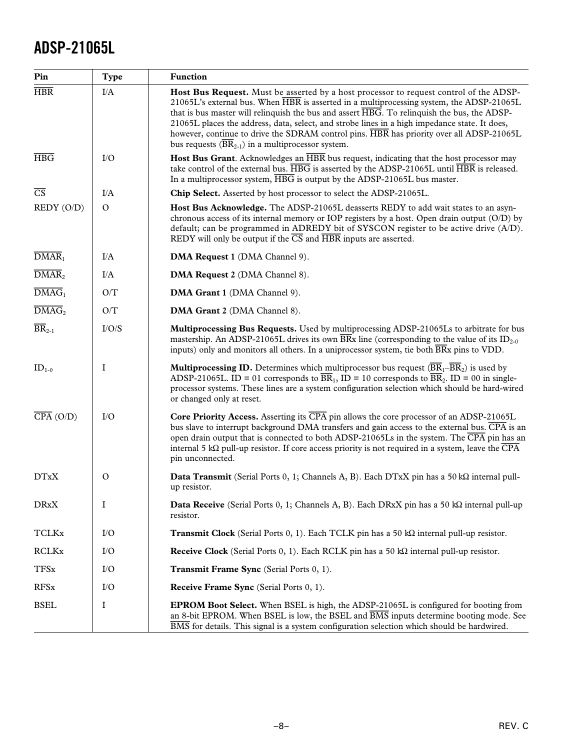| Pin                          | <b>Type</b>   | <b>Function</b>                                                                                                                                                                                                                                                                                                                                                                                                                                                                                                                         |
|------------------------------|---------------|-----------------------------------------------------------------------------------------------------------------------------------------------------------------------------------------------------------------------------------------------------------------------------------------------------------------------------------------------------------------------------------------------------------------------------------------------------------------------------------------------------------------------------------------|
| $\overline{\text{HBR}}$      | I/A           | Host Bus Request. Must be asserted by a host processor to request control of the ADSP-<br>21065L's external bus. When HBR is asserted in a multiprocessing system, the ADSP-21065L<br>that is bus master will relinquish the bus and assert HBG. To relinquish the bus, the ADSP-<br>21065L places the address, data, select, and strobe lines in a high impedance state. It does,<br>however, continue to drive the SDRAM control pins. HBR has priority over all ADSP-21065L<br>bus requests $(BR_{2-1})$ in a multiprocessor system. |
| $\overline{\text{HBG}}$      | I/O           | <b>Host Bus Grant.</b> Acknowledges an HBR bus request, indicating that the host processor may<br>take control of the external bus. $\overline{HBG}$ is asserted by the ADSP-21065L until $\overline{HBR}$ is released.<br>In a multiprocessor system, $\overline{\text{HBG}}$ is output by the ADSP-21065L bus master.                                                                                                                                                                                                                 |
| $\overline{\text{CS}}$       | I/A           | Chip Select. Asserted by host processor to select the ADSP-21065L.                                                                                                                                                                                                                                                                                                                                                                                                                                                                      |
| REDY (O/D)                   | $\mathbf{O}$  | Host Bus Acknowledge. The ADSP-21065L deasserts REDY to add wait states to an asyn-<br>chronous access of its internal memory or IOP registers by a host. Open drain output (O/D) by<br>default; can be programmed in ADREDY bit of SYSCON register to be active drive (A/D).<br>REDY will only be output if the $\overline{CS}$ and $\overline{HBR}$ inputs are asserted.                                                                                                                                                              |
| $\overline{\text{DMAR}}_1$   | I/A           | DMA Request 1 (DMA Channel 9).                                                                                                                                                                                                                                                                                                                                                                                                                                                                                                          |
| $\overline{\text{DMAR}}_2$   | I/A           | DMA Request 2 (DMA Channel 8).                                                                                                                                                                                                                                                                                                                                                                                                                                                                                                          |
| $\overline{\text{DMAG}}_1$   | O/T           | DMA Grant 1 (DMA Channel 9).                                                                                                                                                                                                                                                                                                                                                                                                                                                                                                            |
| $\overline{\text{DMAG}}_2$   | O/T           | DMA Grant 2 (DMA Channel 8).                                                                                                                                                                                                                                                                                                                                                                                                                                                                                                            |
| $\overline{\text{BR}}_{2-1}$ | I/O/S         | Multiprocessing Bus Requests. Used by multiprocessing ADSP-21065Ls to arbitrate for bus<br>mastership. An ADSP-21065L drives its own $\overline{B}Rx$ line (corresponding to the value of its ID <sub>2-0</sub><br>inputs) only and monitors all others. In a uniprocessor system, tie both $\overline{BRx}$ pins to VDD.                                                                                                                                                                                                               |
| $ID_{1-0}$                   | I             | <b>Multiprocessing ID.</b> Determines which multiprocessor bus request $(\overline{BR_1-BR_2})$ is used by<br>ADSP-21065L. ID = 01 corresponds to $\overline{BR}_1$ , ID = 10 corresponds to $\overline{BR}_2$ . ID = 00 in single-<br>processor systems. These lines are a system configuration selection which should be hard-wired<br>or changed only at reset.                                                                                                                                                                      |
| $\overline{CPA}$ (O/D)       | I/O           | <b>Core Priority Access.</b> Asserting its $\overline{CPA}$ pin allows the core processor of an ADSP-21065L<br>bus slave to interrupt background DMA transfers and gain access to the external bus. $\overline{CPA}$ is an<br>open drain output that is connected to both ADSP-21065Ls in the system. The CPA pin has an<br>internal 5 k $\Omega$ pull-up resistor. If core access priority is not required in a system, leave the $\overline{CPA}$<br>pin unconnected.                                                                 |
| <b>DTxX</b>                  | $\mathcal{O}$ | <b>Data Transmit</b> (Serial Ports 0, 1; Channels A, B). Each DTxX pin has a 50 k $\Omega$ internal pull-<br>up resistor.                                                                                                                                                                                                                                                                                                                                                                                                               |
| <b>DRxX</b>                  | I             | Data Receive (Serial Ports 0, 1; Channels A, B). Each DRxX pin has a 50 k $\Omega$ internal pull-up<br>resistor.                                                                                                                                                                                                                                                                                                                                                                                                                        |
| <b>TCLKx</b>                 | I/O           | <b>Transmit Clock</b> (Serial Ports 0, 1). Each TCLK pin has a 50 $k\Omega$ internal pull-up resistor.                                                                                                                                                                                                                                                                                                                                                                                                                                  |
| <b>RCLKx</b>                 | I/O           | Receive Clock (Serial Ports 0, 1). Each RCLK pin has a 50 k $\Omega$ internal pull-up resistor.                                                                                                                                                                                                                                                                                                                                                                                                                                         |
| <b>TFSx</b>                  | I/O           | Transmit Frame Sync (Serial Ports 0, 1).                                                                                                                                                                                                                                                                                                                                                                                                                                                                                                |
| <b>RFSx</b>                  | I/O           | <b>Receive Frame Sync</b> (Serial Ports 0, 1).                                                                                                                                                                                                                                                                                                                                                                                                                                                                                          |
| <b>BSEL</b>                  | I             | <b>EPROM Boot Select.</b> When BSEL is high, the ADSP-21065L is configured for booting from<br>an 8-bit EPROM. When BSEL is low, the BSEL and <b>BMS</b> inputs determine booting mode. See<br>BMS for details. This signal is a system configuration selection which should be hardwired.                                                                                                                                                                                                                                              |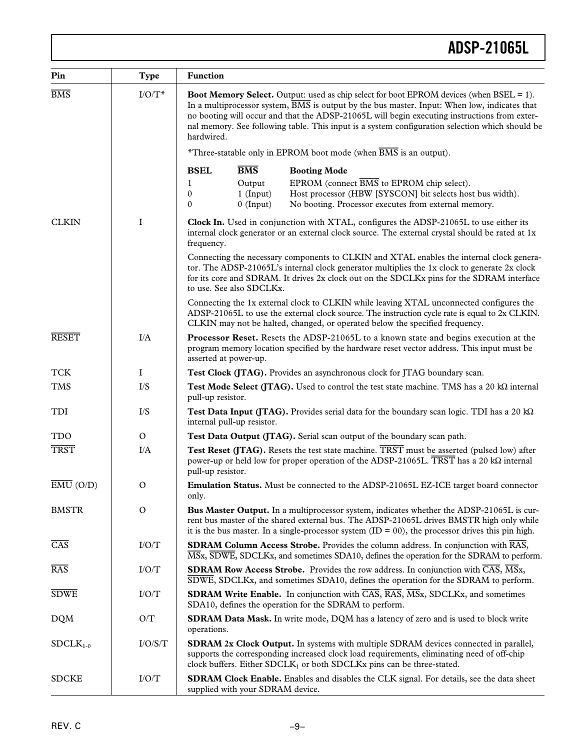| Pin                           | Type         | <b>Function</b>                                                                                                                                                                                                                                                                                                                                                                                                              |  |  |
|-------------------------------|--------------|------------------------------------------------------------------------------------------------------------------------------------------------------------------------------------------------------------------------------------------------------------------------------------------------------------------------------------------------------------------------------------------------------------------------------|--|--|
| $\overline{BMS}$              | $I/O/T^*$    | <b>Boot Memory Select.</b> Output: used as chip select for boot EPROM devices (when BSEL = 1).<br>In a multiprocessor system, $\overline{BMS}$ is output by the bus master. Input: When low, indicates that<br>no booting will occur and that the ADSP-21065L will begin executing instructions from exter-<br>nal memory. See following table. This input is a system configuration selection which should be<br>hardwired. |  |  |
|                               |              | *Three-statable only in EPROM boot mode (when $\overline{BMS}$ is an output).                                                                                                                                                                                                                                                                                                                                                |  |  |
|                               |              | <b>BSEL</b><br>$\overline{\text{BMS}}$<br><b>Booting Mode</b>                                                                                                                                                                                                                                                                                                                                                                |  |  |
|                               |              | EPROM (connect BMS to EPROM chip select).<br>Output<br>1<br>$1$ (Input)<br>Host processor (HBW [SYSCON] bit selects host bus width).<br>0<br>$0$ (Input)<br>No booting. Processor executes from external memory.<br>$\mathbf{0}$                                                                                                                                                                                             |  |  |
| <b>CLKIN</b>                  | $\mathbf I$  | Clock In. Used in conjunction with XTAL, configures the ADSP-21065L to use either its<br>internal clock generator or an external clock source. The external crystal should be rated at 1x<br>frequency.                                                                                                                                                                                                                      |  |  |
|                               |              | Connecting the necessary components to CLKIN and XTAL enables the internal clock genera-<br>tor. The ADSP-21065L's internal clock generator multiplies the 1x clock to generate 2x clock<br>for its core and SDRAM. It drives 2x clock out on the SDCLKx pins for the SDRAM interface<br>to use. See also SDCLKx.                                                                                                            |  |  |
|                               |              | Connecting the 1x external clock to CLKIN while leaving XTAL unconnected configures the<br>ADSP-21065L to use the external clock source. The instruction cycle rate is equal to 2x CLKIN.<br>CLKIN may not be halted, changed, or operated below the specified frequency.                                                                                                                                                    |  |  |
| <b>RESET</b>                  | I/A          | <b>Processor Reset.</b> Resets the ADSP-21065L to a known state and begins execution at the<br>program memory location specified by the hardware reset vector address. This input must be<br>asserted at power-up.                                                                                                                                                                                                           |  |  |
| <b>TCK</b>                    | $\bf{I}$     | Test Clock (JTAG). Provides an asynchronous clock for JTAG boundary scan.                                                                                                                                                                                                                                                                                                                                                    |  |  |
| <b>TMS</b>                    | $\rm I/S$    | Test Mode Select (JTAG). Used to control the test state machine. TMS has a 20 $k\Omega$ internal<br>pull-up resistor.                                                                                                                                                                                                                                                                                                        |  |  |
| TDI                           | $\rm I/S$    | Test Data Input (JTAG). Provides serial data for the boundary scan logic. TDI has a 20 $k\Omega$<br>internal pull-up resistor.                                                                                                                                                                                                                                                                                               |  |  |
| <b>TDO</b>                    | $\mathbf{O}$ | Test Data Output (JTAG). Serial scan output of the boundary scan path.                                                                                                                                                                                                                                                                                                                                                       |  |  |
| <b>TRST</b>                   | I/A          | Test Reset (JTAG). Resets the test state machine. TRST must be asserted (pulsed low) after<br>power-up or held low for proper operation of the ADSP-21065L. TRST has a 20 kQ internal<br>pull-up resistor.                                                                                                                                                                                                                   |  |  |
| $\overline{\text{EMU}}$ (O/D) | Ω            | Emulation Status. Must be connected to the ADSP-21065L EZ-ICE target board connector<br>only.                                                                                                                                                                                                                                                                                                                                |  |  |
| <b>BMSTR</b>                  | $\mathbf{O}$ | Bus Master Output. In a multiprocessor system, indicates whether the ADSP-21065L is cur-<br>rent bus master of the shared external bus. The ADSP-21065L drives BMSTR high only while<br>it is the bus master. In a single-processor system $(ID = 00)$ , the processor drives this pin high.                                                                                                                                 |  |  |
| $\overline{CAS}$              | I/O/T        | <b>SDRAM Column Access Strobe.</b> Provides the column address. In conjunction with RAS,<br>$\overline{\text{MSx}}$ , $\overline{\text{SDWE}}$ , SDCLKx, and sometimes SDA10, defines the operation for the SDRAM to perform.                                                                                                                                                                                                |  |  |
| <b>RAS</b>                    | I/O/T        | <b>SDRAM Row Access Strobe.</b> Provides the row address. In conjunction with $\overline{CAS}$ , $\overline{MS}x$ ,<br>SDWE, SDCLKx, and sometimes SDA10, defines the operation for the SDRAM to perform.                                                                                                                                                                                                                    |  |  |
| <b>SDWE</b>                   | I/O/T        | <b>SDRAM Write Enable.</b> In conjunction with $\overline{CAS}$ , $\overline{RAS}$ , $\overline{MS}$ x, SDCLKx, and sometimes<br>SDA10, defines the operation for the SDRAM to perform.                                                                                                                                                                                                                                      |  |  |
| <b>DQM</b>                    | O/T          | <b>SDRAM Data Mask.</b> In write mode, DQM has a latency of zero and is used to block write<br>operations.                                                                                                                                                                                                                                                                                                                   |  |  |
| $SDCLK1-0$                    | I/O/S/T      | <b>SDRAM 2x Clock Output.</b> In systems with multiple SDRAM devices connected in parallel,<br>supports the corresponding increased clock load requirements, eliminating need of off-chip<br>clock buffers. Either $SDCLK1$ or both $SDCLKx$ pins can be three-stated.                                                                                                                                                       |  |  |
| <b>SDCKE</b>                  | I/O/T        | <b>SDRAM Clock Enable.</b> Enables and disables the CLK signal. For details, see the data sheet<br>supplied with your SDRAM device.                                                                                                                                                                                                                                                                                          |  |  |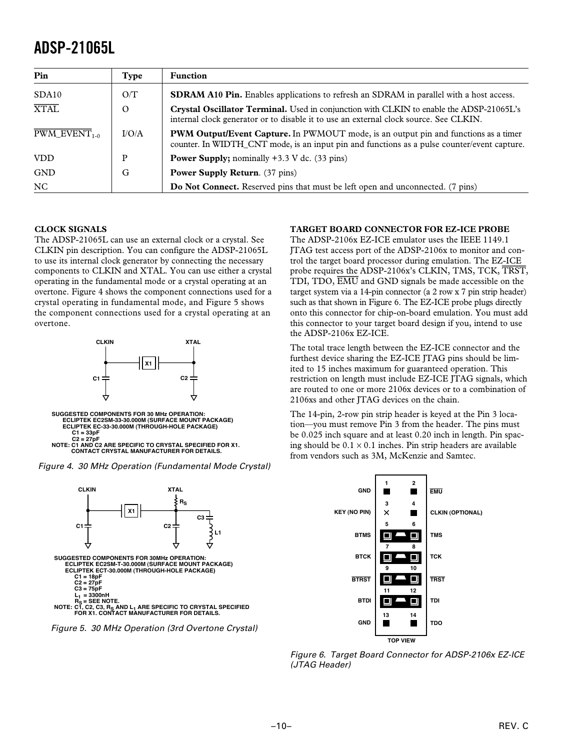| Pin                                    | Type     | <b>Function</b>                                                                                                                                                                           |  |
|----------------------------------------|----------|-------------------------------------------------------------------------------------------------------------------------------------------------------------------------------------------|--|
| SDA10                                  | O/T      | <b>SDRAM A10 Pin.</b> Enables applications to refresh an SDRAM in parallel with a host access.                                                                                            |  |
| <b>XTAL</b>                            | $\Omega$ | Crystal Oscillator Terminal. Used in conjunction with CLKIN to enable the ADSP-21065L's<br>internal clock generator or to disable it to use an external clock source. See CLKIN.          |  |
| $\overline{\mathrm{PWM\_EVENT}}_{1-0}$ | I/O/A    | <b>PWM Output/Event Capture.</b> In PWMOUT mode, is an output pin and functions as a timer<br>counter. In WIDTH_CNT mode, is an input pin and functions as a pulse counter/event capture. |  |
| <b>VDD</b>                             | P        | <b>Power Supply;</b> nominally $+3.3$ V dc. (33 pins)                                                                                                                                     |  |
| <b>GND</b>                             | G        | <b>Power Supply Return.</b> (37 pins)                                                                                                                                                     |  |
| NC                                     |          | <b>Do Not Connect.</b> Reserved pins that must be left open and unconnected. (7 pins)                                                                                                     |  |

### **CLOCK SIGNALS**

The ADSP-21065L can use an external clock or a crystal. See CLKIN pin description. You can configure the ADSP-21065L to use its internal clock generator by connecting the necessary components to CLKIN and XTAL. You can use either a crystal operating in the fundamental mode or a crystal operating at an overtone. Figure 4 shows the component connections used for a crystal operating in fundamental mode, and Figure 5 shows the component connections used for a crystal operating at an overtone.



Figure 4. 30 MHz Operation (Fundamental Mode Crystal)



Figure 5. 30 MHz Operation (3rd Overtone Crystal)

### **TARGET BOARD CONNECTOR FOR EZ-ICE PROBE**

The ADSP-2106x EZ-ICE emulator uses the IEEE 1149.1 JTAG test access port of the ADSP-2106x to monitor and control the target board processor during emulation. The EZ-ICE probe requires the ADSP-2106x's CLKIN, TMS, TCK, *TRST*, TDI, TDO, *EMU* and GND signals be made accessible on the target system via a 14-pin connector (a 2 row x 7 pin strip header) such as that shown in Figure 6. The EZ-ICE probe plugs directly onto this connector for chip-on-board emulation. You must add this connector to your target board design if you, intend to use the ADSP-2106x EZ-ICE.

The total trace length between the EZ-ICE connector and the furthest device sharing the EZ-ICE JTAG pins should be limited to 15 inches maximum for guaranteed operation. This restriction on length must include EZ-ICE JTAG signals, which are routed to one or more 2106x devices or to a combination of 2106xs and other JTAG devices on the chain.

The 14-pin, 2-row pin strip header is keyed at the Pin 3 location—you must remove Pin 3 from the header. The pins must be 0.025 inch square and at least 0.20 inch in length. Pin spacing should be  $0.1 \times 0.1$  inches. Pin strip headers are available from vendors such as 3M, McKenzie and Samtec.



Figure 6. Target Board Connector for ADSP-2106x EZ-ICE (JTAG Header)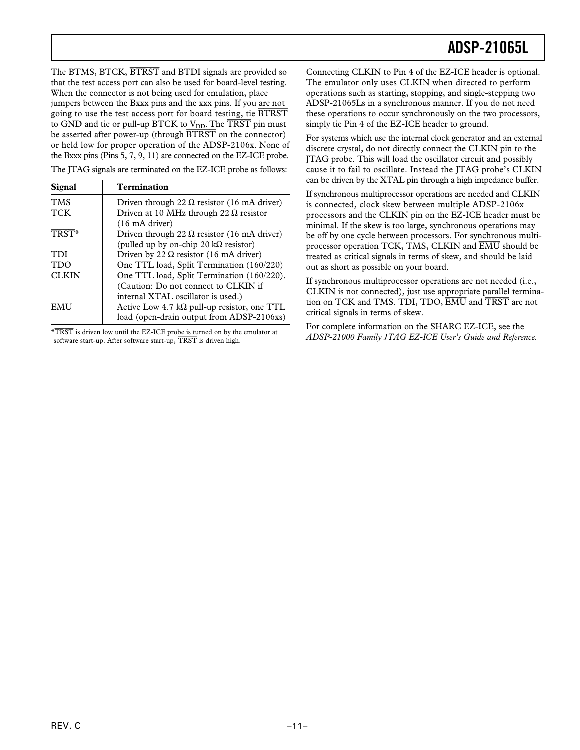The BTMS, BTCK, *BTRST* and BTDI signals are provided so that the test access port can also be used for board-level testing. When the connector is not being used for emulation, place jumpers between the Bxxx pins and the xxx pins. If you are not going to use the test access port for board testing, tie *BTRST* to GND and tie or pull-up BTCK to V<sub>DD</sub>. The **TRST** pin must be asserted after power-up (through *BTRST* on the connector) or held low for proper operation of the ADSP-2106x. None of the Bxxx pins (Pins 5, 7, 9, 11) are connected on the EZ-ICE probe.

The JTAG signals are terminated on the EZ-ICE probe as follows:

| Signal       | <b>Termination</b>                                  |
|--------------|-----------------------------------------------------|
| <b>TMS</b>   | Driven through 22 $\Omega$ resistor (16 mA driver)  |
| <b>TCK</b>   | Driven at 10 MHz through 22 $\Omega$ resistor       |
|              | $(16 \text{ mA driver})$                            |
| TRST*        | Driven through 22 $\Omega$ resistor (16 mA driver)  |
|              | (pulled up by on-chip 20 k $\Omega$ resistor)       |
| <b>TDI</b>   | Driven by 22 $\Omega$ resistor (16 mA driver)       |
| <b>TDO</b>   | One TTL load, Split Termination (160/220)           |
| <b>CLKIN</b> | One TTL load, Split Termination (160/220).          |
|              | (Caution: Do not connect to CLKIN if                |
|              | internal XTAL oscillator is used.)                  |
| <b>EMU</b>   | Active Low 4.7 k $\Omega$ pull-up resistor, one TTL |
|              | load (open-drain output from ADSP-2106xs)           |

\**TRST* is driven low until the EZ-ICE probe is turned on by the emulator at software start-up. After software start-up, *TRST* is driven high.

Connecting CLKIN to Pin 4 of the EZ-ICE header is optional. The emulator only uses CLKIN when directed to perform operations such as starting, stopping, and single-stepping two ADSP-21065Ls in a synchronous manner. If you do not need these operations to occur synchronously on the two processors, simply tie Pin 4 of the EZ-ICE header to ground.

For systems which use the internal clock generator and an external discrete crystal, do not directly connect the CLKIN pin to the JTAG probe. This will load the oscillator circuit and possibly cause it to fail to oscillate. Instead the JTAG probe's CLKIN can be driven by the XTAL pin through a high impedance buffer.

If synchronous multiprocessor operations are needed and CLKIN is connected, clock skew between multiple ADSP-2106x processors and the CLKIN pin on the EZ-ICE header must be minimal. If the skew is too large, synchronous operations may be off by one cycle between processors. For synchronous multiprocessor operation TCK, TMS, CLKIN and *EMU* should be treated as critical signals in terms of skew, and should be laid out as short as possible on your board.

If synchronous multiprocessor operations are not needed (i.e., CLKIN is not connected), just use appropriate parallel termination on TCK and TMS. TDI, TDO, *EMU* and *TRST* are not critical signals in terms of skew.

For complete information on the SHARC EZ-ICE, see the *ADSP-21000 Family JTAG EZ-ICE User's Guide and Reference*.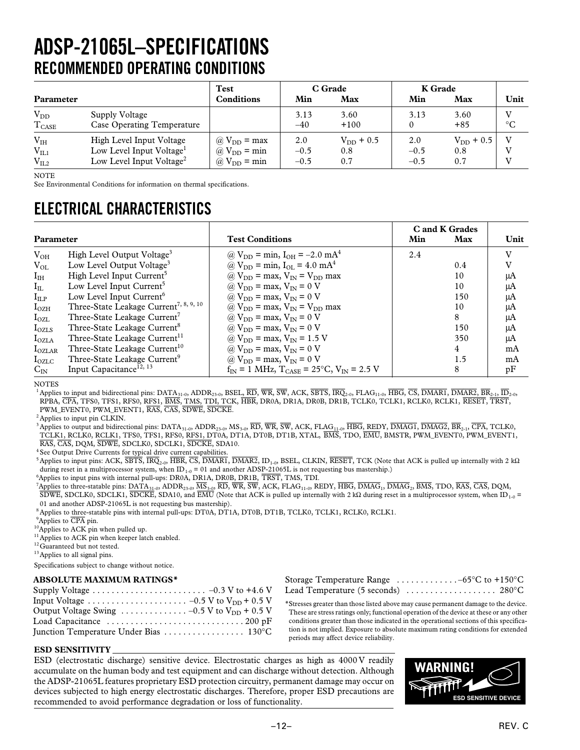## **ADSP-21065L–SPECIFICATIONS RECOMMENDED OPERATING CONDITIONS**

|                                        |                                                                                                          | Test                                                                                               |                         | C Grade                      | K Grade                 |                              |                 |
|----------------------------------------|----------------------------------------------------------------------------------------------------------|----------------------------------------------------------------------------------------------------|-------------------------|------------------------------|-------------------------|------------------------------|-----------------|
| Parameter                              |                                                                                                          | <b>Conditions</b>                                                                                  | Min                     | Max                          | Min                     | Max                          | Unit            |
| $V_{DD}$<br>$T_{\rm CASE}$             | Supply Voltage<br><b>Case Operating Temperature</b>                                                      |                                                                                                    | 3.13<br>$-40$           | 3.60<br>$+100$               | 3.13                    | 3.60<br>$+85$                | $\rm ^{\circ}C$ |
| $\rm V_{IH}$<br>$V_{IL1}$<br>$V_{IL2}$ | High Level Input Voltage<br>Low Level Input Voltage <sup>1</sup><br>Low Level Input Voltage <sup>2</sup> | $\omega$ V <sub>DD</sub> = max<br>$\omega$ V <sub>DD</sub> = min<br>$\omega$ V <sub>DD</sub> = min | 2.0<br>$-0.5$<br>$-0.5$ | $V_{DD}$ + 0.5<br>0.8<br>0.7 | 2.0<br>$-0.5$<br>$-0.5$ | $V_{DD}$ + 0.5<br>0.8<br>0.7 |                 |

NOTE

See Environmental Conditions for information on thermal specifications.

### **ELECTRICAL CHARACTERISTICS**

|                 |                                                    |                                                       |     | C and K Grades |      |
|-----------------|----------------------------------------------------|-------------------------------------------------------|-----|----------------|------|
| Parameter       |                                                    | <b>Test Conditions</b>                                | Min | Max            | Unit |
| $V_{OH}$        | High Level Output Voltage <sup>3</sup>             | @ $V_{DD}$ = min, $I_{OH}$ = -2.0 mA <sup>4</sup>     | 2.4 |                | v    |
| $V_{OL}$        | Low Level Output Voltage <sup>3</sup>              | @ $V_{DD} = min$ , $I_{OL} = 4.0$ mA <sup>4</sup>     |     | 0.4            |      |
| $I_{IH}$        | High Level Input Current <sup>5</sup>              | @ $V_{DD}$ = max, $V_{IN}$ = $V_{DD}$ max             |     | 10             | μA   |
| $I_{IL}$        | Low Level Input Current <sup>5</sup>               | @ $V_{DD}$ = max, $V_{IN}$ = 0 V                      |     | 10             | μA   |
| $I_{ILP}$       | Low Level Input Current <sup>6</sup>               | @ $V_{DD}$ = max, $V_{IN}$ = 0 V                      |     | 150            | μA   |
| $I_{OZH}$       | Three-State Leakage Current <sup>7, 8, 9, 10</sup> | @ $V_{DD}$ = max, $V_{IN}$ = $V_{DD}$ max             |     | 10             | μA   |
| $I_{OZL}$       | Three-State Leakage Current <sup>7</sup>           | @ $V_{DD}$ = max, $V_{IN}$ = 0 V                      |     | 8              | μA   |
| $I_{OZLS}$      | Three-State Leakage Current <sup>8</sup>           | @ $V_{DD}$ = max, $V_{IN}$ = 0 V                      |     | 150            | μA   |
| $I_{OZLA}$      | Three-State Leakage Current <sup>11</sup>          | @ $V_{DD}$ = max, $V_{IN}$ = 1.5 V                    |     | 350            | μA   |
| $I_{OZLAR}$     | Three-State Leakage Current <sup>10</sup>          | @ $V_{DD}$ = max, $V_{IN}$ = 0 V                      |     | 4              | mA   |
| $I_{\rm OZLC}$  | Three-State Leakage Current <sup>9</sup>           | @ $V_{DD}$ = max, $V_{IN}$ = 0 V                      |     | 1.5            | mA   |
| $C_{\text{IN}}$ | Input Capacitance <sup>12, 13</sup>                | $f_{IN}$ = 1 MHz, $T_{CASE}$ = 25°C, $V_{IN}$ = 2.5 V |     | 8              | pF   |

**NOTES** 

<sup>1</sup> Applies to input and bidirectional pins: DATA31-0, ADDR23-0, BSEL, *RD*, *WR*, *SW*, ACK, *SBTS*, *IRQ*2-0, FLAG11-0, *HBG*, *CS*, *DMAR1*, *DMAR2*, *BR*2-1, *ID*2-0, RPBA, *CPA*, TFS0, TFS1, RFS0, RFS1, *BMS*, TMS, TDI, TCK, *HBR*, DR0A, DR1A, DR0B, DR1B, TCLK0, TCLK1, RCLK0, RCLK1, *RESET*, *TRST*, PWM\_EVENT0, PWM\_EVENT1, *RAS*, *CAS*, *SDWE*, *SDCKE*.

<sup>2</sup> Applies to input pin CLKIN.

<sup>3</sup> Applies to output and bidirectional pins: DATA<sub>31-0</sub>, ADDR<sub>23-0</sub>, MS<sub>3-0</sub>, *RD*, *WR*, *SW*, *ACK*, *FLAG*<sub>11-0</sub>, *HBG*, *REDY*, *DMAG1*, *DMAG2*, *BR*<sub>2-1</sub>, *CPA*, *TCLK0*, TCLK1, RCLK0, RCLK1, TFS0, TFS1, RFS0, RFS1, DT0A, DT1A, DT0B, DT1B, XTAL, *BMS*, TDO, *EMU*, BMSTR, PWM\_EVENT0, PWM\_EVENT1, *RAS*, *CAS*, DQM, *SDWE*, SDCLK0, SDCLK1, *SDCKE*, SDA10.

<sup>4</sup> See Output Drive Currents for typical drive current capabilities.

<sup>5</sup> Applies to input pins: ACK,  $\overline{\rm SBTS}$ ,  $\overline{\rm IRQ}_{2-0}$ ,  $\overline{\rm HBR}$ ,  $\overline{\rm CS}$ ,  $\overline{\rm DMARI}$ ,  $\overline{\rm DMAR2}$ , ID<sub>1-0</sub>, BSEL, CLKIN,  $\overline{\rm RESET}$ , TCK (Note that ACK is pulled up internally with 2 kΩ during reset in a multiprocessor system, when  $ID_{1-0} = 01$  and another ADSP-21065L is not requesting bus mastership.)

<sup>6</sup>Applies to input pins with internal pull-ups: DR0A, DR1A, DR0B, DR1B, TRST, TMS, TDI.<br><sup>7</sup>Applies to three-statable pins: DATA<sub>31-0</sub>, ADDR<sub>23-0</sub>, MS<sub>3-0</sub>, RD, WR, SW, ACK, FLAG<sub>11-0</sub>, REDY, <del>HBG</del>, DMAG<sub>1</sub>, DMAG<sub>2</sub>, BMS,  $S\overline{DWE}$ , SDCLK0, SDCLK1, SDCKE, SDA10, and EMU (Note that ACK is pulled up internally with 2 kΩ during reset in a multiprocessor system, when ID<sub>1-0</sub> = 01 and another ADSP-21065L is not requesting bus mastership).

<sup>8</sup> Applies to three-statable pins with internal pull-ups: DT0A, DT1A, DT0B, DT1B, TCLK0, TCLK1, RCLK0, RCLK1.

<sup>9</sup>Applies to CPA pin.

<sup>10</sup>Applies to ACK pin when pulled up.

 $11$ Applies to ACK pin when keeper latch enabled.

<sup>12</sup>Guaranteed but not tested.

<sup>13</sup> Applies to all signal pins.

Specifications subject to change without notice.

### **ABSOLUTE MAXIMUM RATINGS\***

| Load Capacitance $\dots \dots \dots \dots \dots \dots \dots \dots \dots \dots 200$ pF |  |
|---------------------------------------------------------------------------------------|--|
| Junction Temperature Under Bias  130°C                                                |  |

| Storage Temperature Range $\dots\dots\dots\dots-65^{\circ}C$ to +150 °C        |
|--------------------------------------------------------------------------------|
| Lead Temperature (5 seconds) $\ldots \ldots \ldots \ldots \ldots \ldots$ 280°C |

\*Stresses greater than those listed above may cause permanent damage to the device. These are stress ratings only; functional operation of the device at these or any other conditions greater than those indicated in the operational sections of this specification is not implied. Exposure to absolute maximum rating conditions for extended periods may affect device reliability.

### **ESD SENSITIVITY**

ESD (electrostatic discharge) sensitive device. Electrostatic charges as high as 4000 V readily accumulate on the human body and test equipment and can discharge without detection. Although the ADSP-21065L features proprietary ESD protection circuitry, permanent damage may occur on devices subjected to high energy electrostatic discharges. Therefore, proper ESD precautions are recommended to avoid performance degradation or loss of functionality.

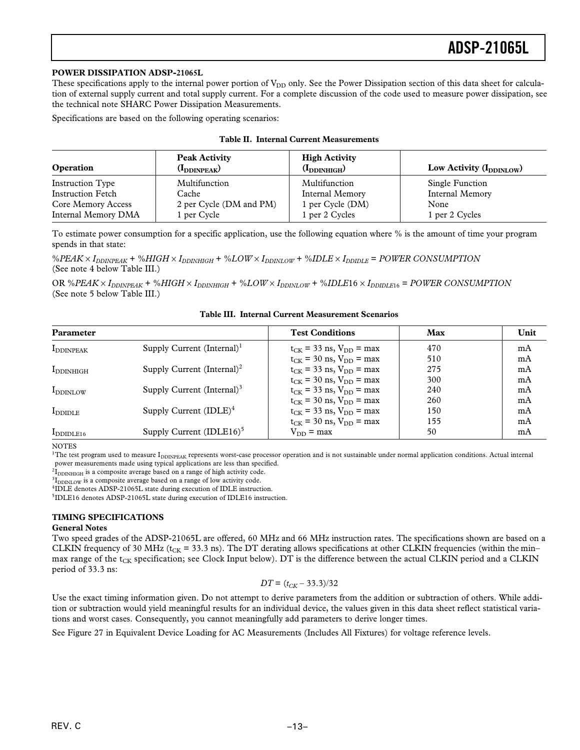#### **POWER DISSIPATION ADSP-21065L**

These specifications apply to the internal power portion of V<sub>DD</sub> only. See the Power Dissipation section of this data sheet for calculation of external supply current and total supply current. For a complete discussion of the code used to measure power dissipation, see the technical note SHARC Power Dissipation Measurements.

Specifications are based on the following operating scenarios:

|  |  |  | <b>Table II. Internal Current Measurements</b> |
|--|--|--|------------------------------------------------|
|--|--|--|------------------------------------------------|

| <b>Operation</b>           | <b>Peak Activity</b><br>$(I_{DDINPEAK})$ | <b>High Activity</b><br>$(I_{DDINHIGH})$ | Low Activity $(I_{DDINLOW})$ |
|----------------------------|------------------------------------------|------------------------------------------|------------------------------|
| <b>Instruction Type</b>    | Multifunction                            | Multifunction                            | Single Function              |
| <b>Instruction Fetch</b>   | Cache                                    | Internal Memory                          | Internal Memory              |
| Core Memory Access         | 2 per Cycle (DM and PM)                  | 1 per Cycle (DM)                         | None                         |
| <b>Internal Memory DMA</b> | 1 per Cycle                              | 1 per 2 Cycles                           | 1 per 2 Cycles               |

To estimate power consumption for a specific application, use the following equation where % is the amount of time your program spends in that state:

%*PEAK* ¥ *IDDINPEAK* + %*HIGH* ¥ *IDDINHIGH* + %*LOW* ¥ *IDDINLOW* + %*IDLE* ¥ *IDDIDLE* = *POWER CONSUMPTION* (See note 4 below Table III.)

OR %*PEAK* ¥ *IDDINPEAK* + %*HIGH* ¥ *IDDINHIGH* + %*LOW* ¥ *IDDINLOW* + %*IDLE*16 ¥ *IDDIDLE*<sup>16</sup> = *POWER CONSUMPTION* (See note 5 below Table III.)

**Table III. Internal Current Measurement Scenarios**

| Parameter            |                                        | <b>Test Conditions</b>           | Max | Unit |
|----------------------|----------------------------------------|----------------------------------|-----|------|
| <b>I</b> DDINPEAK    | Supply Current $(Internal)^T$          | $t_{CK}$ = 33 ns, $V_{DD}$ = max | 470 | mA   |
|                      |                                        | $t_{CK}$ = 30 ns, $V_{DD}$ = max | 510 | mA   |
| <b>I</b> DDINHIGH    | Supply Current (Internal) <sup>2</sup> | $t_{CK}$ = 33 ns, $V_{DD}$ = max | 275 | mA   |
|                      |                                        | $t_{CK}$ = 30 ns, $V_{DD}$ = max | 300 | mA   |
| I <sub>DDINLOW</sub> | Supply Current (Internal) <sup>3</sup> | $t_{CK}$ = 33 ns, $V_{DD}$ = max | 240 | mA   |
|                      |                                        | $t_{CK}$ = 30 ns, $V_{DD}$ = max | 260 | mA   |
| $I_{DDIDLE}$         | Supply Current $(IDLE)^4$              | $t_{CK}$ = 33 ns, $V_{DD}$ = max | 150 | mA   |
|                      |                                        | $t_{CK}$ = 30 ns, $V_{DD}$ = max | 155 | mA   |
| $I_{DDIDLE16}$       | Supply Current $(IDLE16)^5$            | $V_{DD}$ = max                   | 50  | mA   |

**NOTES** 

<sup>1</sup>The test program used to measure I<sub>DDINPEAK</sub> represents worst-case processor operation and is not sustainable under normal application conditions. Actual internal power measurements made using typical applications are less than specified.

 ${}^{2}I_{\text{DDINHIGH}}$  is a composite average based on a range of high activity code.

 ${}^{3}I_{DDINLOW}$  is a composite average based on a range of low activity code.

<sup>4</sup>IDLE denotes ADSP-21065L state during execution of IDLE instruction.

5IDLE16 denotes ADSP-21065L state during execution of IDLE16 instruction.

### **TIMING SPECIFICATIONS**

#### **General Notes**

Two speed grades of the ADSP-21065L are offered, 60 MHz and 66 MHz instruction rates. The specifications shown are based on a CLKIN frequency of 30 MHz ( $t_{CK}$  = 33.3 ns). The DT derating allows specifications at other CLKIN frequencies (within the min– max range of the  $t_{CK}$  specification; see Clock Input below). DT is the difference between the actual CLKIN period and a CLKIN period of 33.3 ns:

$$
DT = (t_{CK} - 33.3)/32
$$

Use the exact timing information given. Do not attempt to derive parameters from the addition or subtraction of others. While addition or subtraction would yield meaningful results for an individual device, the values given in this data sheet reflect statistical variations and worst cases. Consequently, you cannot meaningfully add parameters to derive longer times.

See Figure 27 in Equivalent Device Loading for AC Measurements (Includes All Fixtures) for voltage reference levels.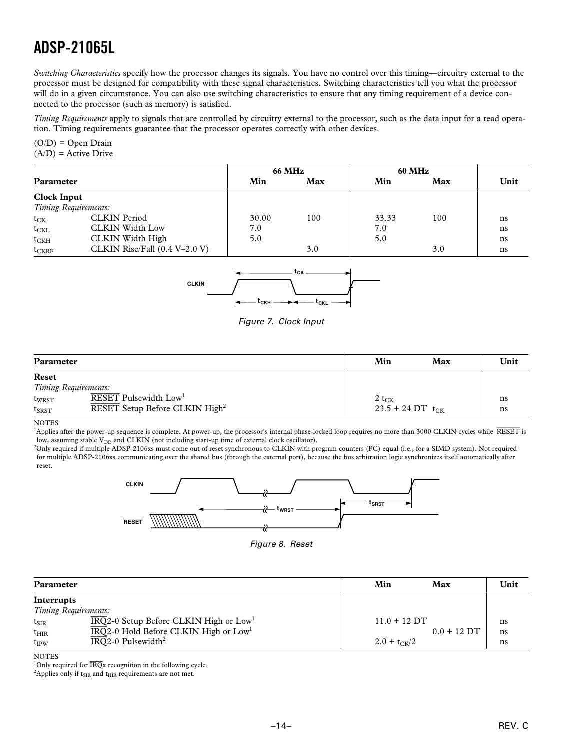*Switching Characteristics* specify how the processor changes its signals. You have no control over this timing—circuitry external to the processor must be designed for compatibility with these signal characteristics. Switching characteristics tell you what the processor will do in a given circumstance. You can also use switching characteristics to ensure that any timing requirement of a device connected to the processor (such as memory) is satisfied.

*Timing Requirements* apply to signals that are controlled by circuitry external to the processor, such as the data input for a read operation. Timing requirements guarantee that the processor operates correctly with other devices.

### $(O/D) = Open Drain$  $(A/D)$  = Active Drive

|                    |                                 |       | <b>66 MHz</b> |       | <b>60 MHz</b> |      |
|--------------------|---------------------------------|-------|---------------|-------|---------------|------|
| Parameter          |                                 | Min   | Max           | Min   | Max           | Unit |
| <b>Clock Input</b> |                                 |       |               |       |               |      |
|                    | Timing Requirements:            |       |               |       |               |      |
| $t_{CK}$           | <b>CLKIN</b> Period             | 30.00 | 100           | 33.33 | 100           | ns   |
| $t_{CKL}$          | <b>CLKIN Width Low</b>          | 7.0   |               | 7.0   |               | ns   |
| $t_{CKH}$          | CLKIN Width High                | 5.0   |               | 5.0   |               | ns   |
| $t_{CKRF}$         | CLKIN Rise/Fall $(0.4 V-2.0 V)$ |       | 3.0           |       | 3.0           | ns   |



Figure 7. Clock Input

| Parameter                     |                                                                                 | Min                                   | Max | Unit     |
|-------------------------------|---------------------------------------------------------------------------------|---------------------------------------|-----|----------|
| Reset<br>Timing Requirements: |                                                                                 |                                       |     |          |
| twrst<br>$t_{S\text{RST}}$    | RESET Pulsewidth Low <sup>1</sup><br>RESET Setup Before CLKIN High <sup>2</sup> | $2 t_{CK}$<br>$23.5 + 24$ DT $t_{CK}$ |     | ns<br>ns |

NOTES

<sup>1</sup>Applies after the power-up sequence is complete. At power-up, the processor's internal phase-locked loop requires no more than 3000 CLKIN cycles while *RESET* is low, assuming stable  $\mathrm{V_{DD}}$  and CLKIN (not including start-up time of external clock oscillator).

2 Only required if multiple ADSP-2106xs must come out of reset synchronous to CLKIN with program counters (PC) equal (i.e., for a SIMD system). Not required for multiple ADSP-2106xs communicating over the shared bus (through the external port), because the bus arbitration logic synchronizes itself automatically after reset.



Figure 8. Reset

| <b>Parameter</b> |                                                                         | Min              | Max           | Unit |
|------------------|-------------------------------------------------------------------------|------------------|---------------|------|
| Interrupts       | Timing Requirements:                                                    |                  |               |      |
| $t_{\rm SIR}$    | $\overline{\text{IRQ}}$ 2-0 Setup Before CLKIN High or Low <sup>1</sup> | $11.0 + 12$ DT   |               | ns   |
| $t_{\rm HIR}$    | $\overline{\text{IRQ}}$ 2-0 Hold Before CLKIN High or Low <sup>1</sup>  |                  | $0.0 + 12$ DT | ns   |
| $t_{IPW}$        | $\overline{\text{IRQ}}$ 2-0 Pulsewidth <sup>2</sup>                     | $2.0 + t_{CK}/2$ |               | ns   |

**NOTES** 

<sup>1</sup>Only required for  $\overline{\text{IRQ}}$ x recognition in the following cycle.

<sup>2</sup>Applies only if  $t_{SIR}$  and  $t_{HIR}$  requirements are not met.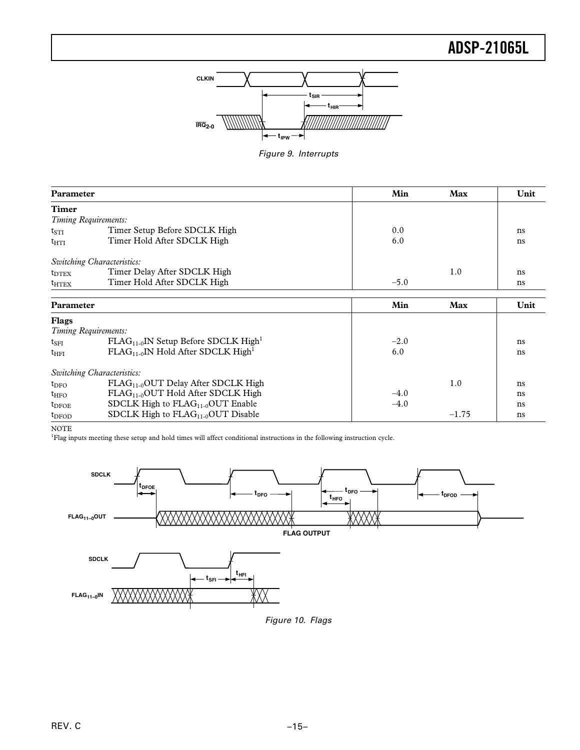

Figure 9. Interrupts

| <b>Parameter</b>  |                                                       | Min    | Max     | Unit |
|-------------------|-------------------------------------------------------|--------|---------|------|
| <b>Timer</b>      |                                                       |        |         |      |
|                   | Timing Requirements:                                  |        |         |      |
| $t_{STI}$         | Timer Setup Before SDCLK High                         | 0.0    |         | ns   |
| $t_{\text{HTI}}$  | Timer Hold After SDCLK High                           | 6.0    |         | ns   |
|                   | Switching Characteristics:                            |        |         |      |
| $t_{\text{DTEX}}$ | Timer Delay After SDCLK High                          |        | 1.0     | ns   |
| $t_{\rm HTEX}$    | Timer Hold After SDCLK High                           | $-5.0$ |         | ns   |
| Parameter         |                                                       | Min    | Max     | Unit |
| <b>Flags</b>      |                                                       |        |         |      |
|                   | Timing Requirements:                                  |        |         |      |
| $t_{\rm SFI}$     | $FLAG_{11-0}$ IN Setup Before SDCLK High <sup>1</sup> | $-2.0$ |         | ns   |
| $t_{\rm HFI}$     | $FLAG_{11-0}$ IN Hold After SDCLK High <sup>1</sup>   | 6.0    |         | ns   |
|                   | Switching Characteristics:                            |        |         |      |
| $t_{\rm DFO}$     | $FLAG11-0OUT$ Delay After SDCLK High                  |        | 1.0     | ns   |
| $t_{\text{HFO}}$  | $FLAG_{11-0}$ OUT Hold After SDCLK High               | $-4.0$ |         | ns   |
| $t_{DFOE}$        | SDCLK High to $FLAG_{11-0}OUT$ Enable                 | $-4.0$ |         | ns   |
| $t_{\rm DFOD}$    | SDCLK High to $FLAG_{11-0}OUT$ Disable                |        | $-1.75$ | ns   |

NOTE

1 Flag inputs meeting these setup and hold times will affect conditional instructions in the following instruction cycle.



Figure 10. Flags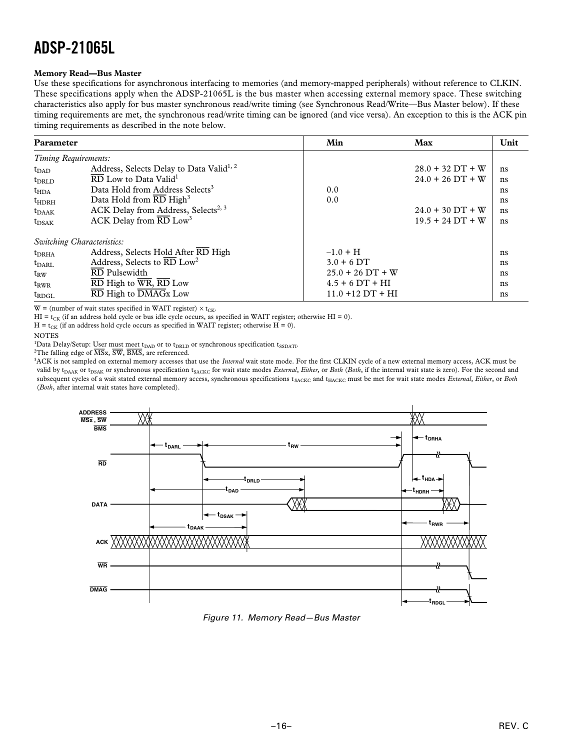### **Memory Read—Bus Master**

Use these specifications for asynchronous interfacing to memories (and memory-mapped peripherals) without reference to CLKIN. These specifications apply when the ADSP-21065L is the bus master when accessing external memory space. These switching characteristics also apply for bus master synchronous read/write timing (see Synchronous Read/Write—Bus Master below). If these timing requirements are met, the synchronous read/write timing can be ignored (and vice versa). An exception to this is the ACK pin timing requirements as described in the note below.

| Parameter            |                                                                                 | Min                 | Max                | Unit |
|----------------------|---------------------------------------------------------------------------------|---------------------|--------------------|------|
| Timing Requirements: |                                                                                 |                     |                    |      |
| t <sub>DAD</sub>     | Address, Selects Delay to Data Valid <sup>1, 2</sup>                            |                     | $28.0 + 32 DT + W$ | ns   |
| t <sub>DRLD</sub>    | $\overline{\text{RD}}$ Low to Data Valid <sup>1</sup>                           |                     | $24.0 + 26$ DT + W | ns   |
| $t_{\text{HDA}}$     | Data Hold from Address Selects <sup>3</sup>                                     | 0.0                 |                    | ns   |
| $t_{\rm HDRH}$       | Data Hold from $\overline{\text{RD}}$ High <sup>3</sup>                         | 0.0                 |                    | ns   |
| $t_{\rm DAAK}$       | ACK Delay from Address, Selects <sup>2, 3</sup>                                 |                     | $24.0 + 30 DT + W$ | ns   |
| $t_{DSAK}$           | ACK Delay from $\overline{\text{RD}}$ Low <sup>3</sup>                          |                     | $19.5 + 24 DT + W$ | ns   |
|                      | Switching Characteristics:                                                      |                     |                    |      |
| $t_{DRHA}$           | Address, Selects Hold After RD High                                             | $-1.0 + H$          |                    | ns   |
| $t_{\rm DARL}$       | Address, Selects to $\overline{\text{RD}}$ Low <sup>2</sup>                     | $3.0 + 6$ DT        |                    | ns   |
| $t_{RW}$             | RD Pulsewidth                                                                   | $25.0 + 26$ DT + W  |                    | ns   |
| $t_{RWR}$            | $\overline{\text{RD}}$ High to $\overline{\text{WR}}, \overline{\text{RD}}$ Low | $4.5 + 6 DT + HI$   |                    | ns   |
| $t_{\text{RDGL}}$    | $\overline{\text{RD}}$ High to $\overline{\text{DMAGx}}$ Low                    | $11.0 + 12 DT + HI$ |                    | ns   |

 $W =$  (number of wait states specified in WAIT register)  $\times t_{CK}$ .

HI = t<sub>CK</sub> (if an address hold cycle or bus idle cycle occurs, as specified in WAIT register; otherwise HI = 0).

 $H = t_{CK}$  (if an address hold cycle occurs as specified in WAIT register; otherwise  $H = 0$ ).

**NOTES** 

<sup>1</sup>Data Delay/Setup: User must meet t<sub>DAD</sub> or to t<sub>DRLD</sub> or synchronous specification t<sub>SSDATI</sub>.

2 The falling edge of *MS*x, *SW*, *BMS*, are referenced.

3 ACK is not sampled on external memory accesses that use the *Internal* wait state mode. For the first CLKIN cycle of a new external memory access, ACK must be valid by t<sub>DAAK</sub> or t<sub>DSAK</sub> or synchronous specification t<sub>SACKC</sub> for wait state modes *External*, *Either*, or *Both* (*Both*, if the internal wait state is zero). For the second and subsequent cycles of a wait stated external memory access, synchronous specifications t<sub>SACKC</sub> and t<sub>HACKC</sub> must be met for wait state modes *External*, *Either*, or *Both* (*Both*, after internal wait states have completed).



Figure 11. Memory Read—Bus Master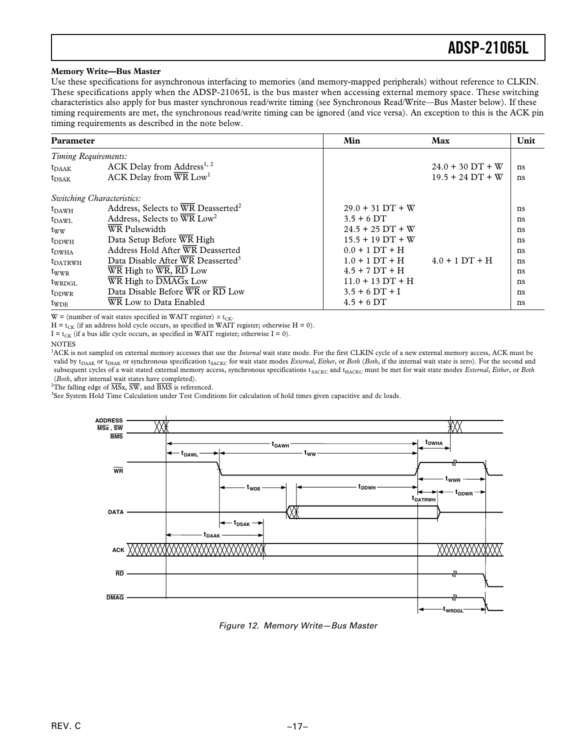### **Memory Write—Bus Master**

Use these specifications for asynchronous interfacing to memories (and memory-mapped peripherals) without reference to CLKIN. These specifications apply when the ADSP-21065L is the bus master when accessing external memory space. These switching characteristics also apply for bus master synchronous read/write timing (see Synchronous Read/Write—Bus Master below). If these timing requirements are met, the synchronous read/write timing can be ignored (and vice versa). An exception to this is the ACK pin timing requirements as described in the note below.

| Parameter                  |                                                                                    | Min                | Max                | Unit |
|----------------------------|------------------------------------------------------------------------------------|--------------------|--------------------|------|
| Timing Requirements:       |                                                                                    |                    |                    |      |
| $t_{\rm DAAK}$             | ACK Delay from Address <sup>1, 2</sup>                                             |                    | $24.0 + 30 DT + W$ | ns   |
| $t_{DSAK}$                 | ACK Delay from $\overline{\text{WR}}$ Low <sup>1</sup>                             |                    | $19.5 + 24 DT + W$ | ns   |
| Switching Characteristics: |                                                                                    |                    |                    |      |
| $t_{DAWH}$                 | Address, Selects to WR Deasserted <sup>2</sup>                                     | $29.0 + 31 DT + W$ |                    | ns   |
| $t_{\rm DAWL}$             | Address, Selects to WR Low <sup>2</sup>                                            | $3.5 + 6$ DT       |                    | ns   |
| $t_{WW}$                   | <b>WR</b> Pulsewidth                                                               | $24.5 + 25$ DT + W |                    | ns   |
| $t_{DDWH}$                 | Data Setup Before WR High                                                          | $15.5 + 19$ DT + W |                    | ns   |
| $t_{\rm DWHA}$             | Address Hold After WR Deasserted                                                   | $0.0 + 1 DT + H$   |                    | ns   |
| $t_{\text{DATRWH}}$        | Data Disable After WR Deasserted <sup>3</sup>                                      | $1.0 + 1 DT + H$   | $4.0 + 1 DT + H$   | ns   |
| twwr                       | $\overline{\text{WR}}$ High to $\overline{\text{WR}}$ , $\overline{\text{RD}}$ Low | $4.5 + 7 DT + H$   |                    | ns   |
| $t_{WRDGL}$                | WR High to DMAGx Low                                                               | $11.0 + 13 DT + H$ |                    | ns   |
| $t_{DDWR}$                 | Data Disable Before WR or RD Low                                                   | $3.5 + 6 DT + I$   |                    | ns   |
| $t_{WDE}$                  | WR Low to Data Enabled                                                             | $4.5 + 6$ DT       |                    | ns   |

 $W =$  (number of wait states specified in WAIT register)  $\times t_{CK}$ .

 $H = t_{CK}$  (if an address hold cycle occurs, as specified in WAIT register; otherwise  $H = 0$ ).

 $I = t_{CK}$  (if a bus idle cycle occurs, as specified in WAIT register; otherwise  $I = 0$ ).

**NOTES** 

<sup>1</sup>ACK is not sampled on external memory accesses that use the *Internal* wait state mode. For the first CLKIN cycle of a new external memory access, ACK must be valid by t<sub>DAAK</sub> or t<sub>DSAK</sub> or synchronous specification t<sub>SACKC</sub> for wait state modes *External*, *Either*, or *Both* (*Both*, if the internal wait state is zero). For the second and subsequent cycles of a wait stated external memory access, synchronous specifications t<sub>SACKC</sub> and t<sub>HACKC</sub> must be met for wait state modes *External, Either*, or *Both* (*Both*, after internal wait states have completed).

2 The falling edge of *MS*x, *SW*, and *BMS* is referenced.

3 See System Hold Time Calculation under Test Conditions for calculation of hold times given capacitive and dc loads.



Figure 12. Memory Write—Bus Master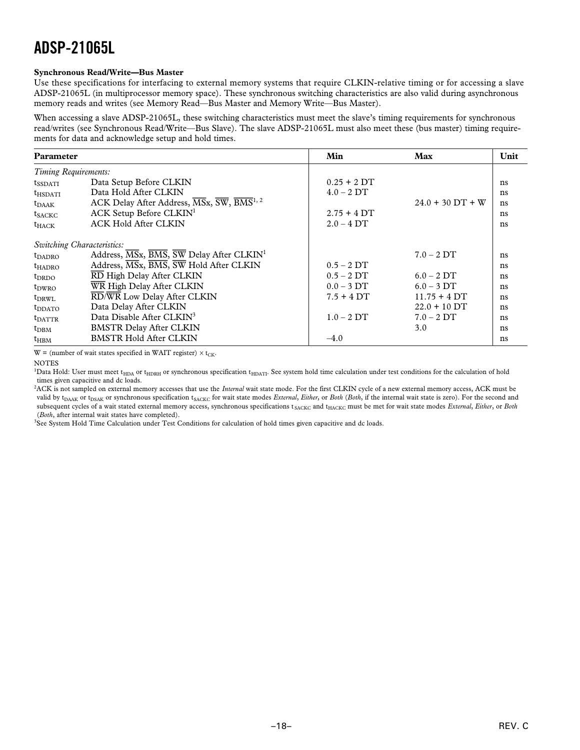### **Synchronous Read/Write—Bus Master**

Use these specifications for interfacing to external memory systems that require CLKIN-relative timing or for accessing a slave ADSP-21065L (in multiprocessor memory space). These synchronous switching characteristics are also valid during asynchronous memory reads and writes (see Memory Read—Bus Master and Memory Write—Bus Master).

When accessing a slave ADSP-21065L, these switching characteristics must meet the slave's timing requirements for synchronous read/writes (see Synchronous Read/Write—Bus Slave). The slave ADSP-21065L must also meet these (bus master) timing requirements for data and acknowledge setup and hold times.

| Parameter            |                                                                                                                     | Min             | Max                | Unit |
|----------------------|---------------------------------------------------------------------------------------------------------------------|-----------------|--------------------|------|
| Timing Requirements: |                                                                                                                     |                 |                    |      |
| <b>t</b> ssdati      | Data Setup Before CLKIN                                                                                             | $0.25 + 2DT$    |                    | ns   |
| $t_{HSDATT}$         | Data Hold After CLKIN                                                                                               | $4.0 - 2DT$     |                    | ns   |
| $t_{\rm DAAK}$       | ACK Delay After Address, $\overline{\text{MS}}$ x, $\overline{\text{SW}}$ , $\overline{\text{BMS}}$ <sup>1, 2</sup> |                 | $24.0 + 30$ DT + W | ns   |
| $t_{SACKC}$          | ACK Setup Before CLKIN <sup>1</sup>                                                                                 | $2.75 + 4DT$    |                    | ns   |
| $t_{HACK}$           | <b>ACK Hold After CLKIN</b>                                                                                         | $2.0 - 4$ DT    |                    | ns   |
|                      | Switching Characteristics:                                                                                          |                 |                    |      |
| $t_{\rm DADRO}$      | Address, MSx, BMS, SW Delay After CLKIN <sup>1</sup>                                                                |                 | $7.0 - 2DT$        | ns   |
| $t_{HADRO}$          | Address, MSx, BMS, SW Hold After CLKIN                                                                              | $0.5 - 2DT$     |                    | ns   |
| $t_{\rm DRDO}$       | RD High Delay After CLKIN                                                                                           | $0.5 - 2DT$     | $6.0 - 2DT$        | ns   |
| $t_{\text{DWRO}}$    | WR High Delay After CLKIN                                                                                           | $0.0 - 3 \, DT$ | $6.0 - 3$ DT       | ns   |
| t <sub>DRWL</sub>    | RD/WR Low Delay After CLKIN                                                                                         | $7.5 + 4DT$     | $11.75 + 4DT$      | ns   |
| <b>t</b> DDATO       | Data Delay After CLKIN                                                                                              |                 | $22.0 + 10 DT$     | ns   |
| $t_{\text{DATTR}}$   | Data Disable After CLKIN <sup>3</sup>                                                                               | $1.0 - 2DT$     | $7.0 - 2DT$        | ns   |
| $t_{DBM}$            | <b>BMSTR Delay After CLKIN</b>                                                                                      |                 | 3.0                | ns   |
| $t_{\rm HBM}$        | <b>BMSTR Hold After CLKIN</b>                                                                                       | $-4.0$          |                    | ns   |

 $W =$  (number of wait states specified in WAIT register)  $\times t_{CK}$ .

**NOTES** 

<sup>1</sup>Data Hold: User must meet t<sub>HDA</sub> or t<sub>HDRH</sub> or synchronous specification t<sub>HDATI</sub>. See system hold time calculation under test conditions for the calculation of hold times given capacitive and dc loads.

2 ACK is not sampled on external memory accesses that use the *Internal* wait state mode. For the first CLKIN cycle of a new external memory access, ACK must be valid by t<sub>DAAK</sub> or t<sub>DSAK</sub> or synchronous specification t<sub>SACKC</sub> for wait state modes *External*, *Either*, or *Both* (*Both*, if the internal wait state is zero). For the second and subsequent cycles of a wait stated external memory access, synchronous specifications t<sub>SACKC</sub> and t<sub>HACKC</sub> must be met for wait state modes *External*, *Either*, or *Both* (*Both*, after internal wait states have completed).

3 See System Hold Time Calculation under Test Conditions for calculation of hold times given capacitive and dc loads.

REV. C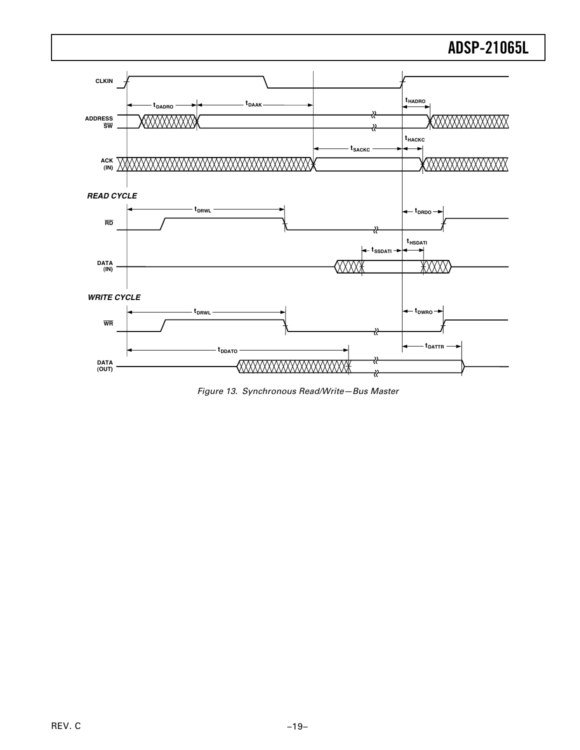

Figure 13. Synchronous Read/Write—Bus Master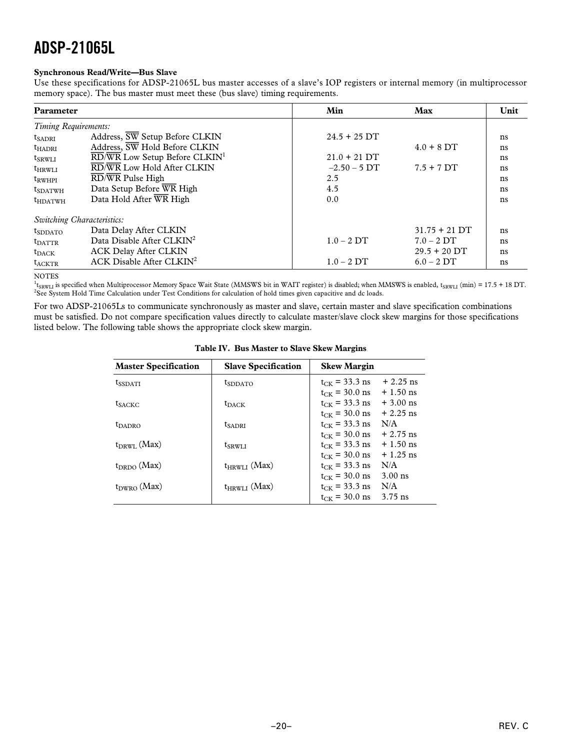### **Synchronous Read/Write—Bus Slave**

Use these specifications for ADSP-21065L bus master accesses of a slave's IOP registers or internal memory (in multiprocessor memory space). The bus master must meet these (bus slave) timing requirements.

| Parameter                  |                                                                                 | Min            | Max             | Unit |
|----------------------------|---------------------------------------------------------------------------------|----------------|-----------------|------|
| Timing Requirements:       |                                                                                 |                |                 |      |
| $t_{SADRI}$                | Address, $\overline{SW}$ Setup Before CLKIN                                     | $24.5 + 25$ DT |                 | ns   |
| $t_{HADRI}$                | Address, SW Hold Before CLKIN                                                   |                | $4.0 + 8$ DT    | ns   |
| $t_{SRWLI}$                | $\overline{\text{RD}}/\overline{\text{WR}}$ Low Setup Before CLKIN <sup>1</sup> | $21.0 + 21$ DT |                 | ns   |
| $t_{HRWLI}$                | RD/WR Low Hold After CLKIN                                                      | $-2.50 - 5$ DT | $7.5 + 7DT$     | ns   |
| $t_{RWHPI}$                | RD/WR Pulse High                                                                | 2.5            |                 | ns   |
| $t_{SDATWH}$               | Data Setup Before WR High                                                       | 4.5            |                 | ns   |
| $t_{HDATWH}$               | Data Hold After WR High                                                         | 0.0            |                 | ns   |
| Switching Characteristics: |                                                                                 |                |                 |      |
| $t_{SDDATA}$               | Data Delay After CLKIN                                                          |                | $31.75 + 21$ DT | ns   |
| $t_{\text{DATTR}}$         | Data Disable After CLKIN <sup>2</sup>                                           | $1.0 - 2DT$    | $7.0 - 2DT$     | ns   |
| $t_{\rm DACK}$             | <b>ACK Delay After CLKIN</b>                                                    |                | $29.5 + 20$ DT  | ns   |
| $t_{ACKTR}$                | ACK Disable After $CLKIN2$                                                      | $1.0 - 2DT$    | $6.0 - 2DT$     | ns   |

**NOTES** 

<sup>1</sup>t<sub>SRWLI</sub> is specified when Multiprocessor Memory Space Wait State (MMSWS bit in WAIT register) is disabled; when MMSWS is enabled, t<sub>SRWLI</sub> (min) = 17.5 + 18 DT. <sup>2</sup>See System Hold Time Calculation under Test Conditions for calculation of hold times given capacitive and dc loads.

For two ADSP-21065Ls to communicate synchronously as master and slave, certain master and slave specification combinations must be satisfied. Do not compare specification values directly to calculate master/slave clock skew margins for those specifications listed below. The following table shows the appropriate clock skew margin.

|--|

| <b>Master Specification</b> | <b>Slave Specification</b> | <b>Skew Margin</b>               |
|-----------------------------|----------------------------|----------------------------------|
| <b>t</b> ssdati             | <b>t</b> sddato            | $t_{CK}$ = 33.3 ns<br>$+2.25$ ns |
|                             |                            | $t_{CK}$ = 30.0 ns<br>$+1.50$ ns |
| <b>t</b> sackc              | $t_{\rm DACK}$             | $+3.00$ ns<br>$t_{CK}$ = 33.3 ns |
|                             |                            | $t_{CK}$ = 30.0 ns<br>$+2.25$ ns |
| <b><i>L</i>DADRO</b>        | <b>t</b> sadri             | N/A<br>$t_{CK}$ = 33.3 ns        |
|                             |                            | $t_{CK}$ = 30.0 ns<br>$+2.75$ ns |
| $t_{DRWI}$ (Max)            | t <sub>SRWLI</sub>         | $+1.50$ ns<br>$t_{CK}$ = 33.3 ns |
|                             |                            | $t_{CK}$ = 30.0 ns<br>$+1.25$ ns |
| $t_{DRDO}$ (Max)            | $t_{HRWLI}$ (Max)          | N/A<br>$t_{CK}$ = 33.3 ns        |
|                             |                            | $3.00$ ns<br>$t_{CK}$ = 30.0 ns  |
| $t_{DWRO}$ (Max)            | $t_{HRWLI}$ (Max)          | N/A<br>$t_{CK}$ = 33.3 ns        |
|                             |                            | $t_{CK}$ = 30.0 ns<br>$3.75$ ns  |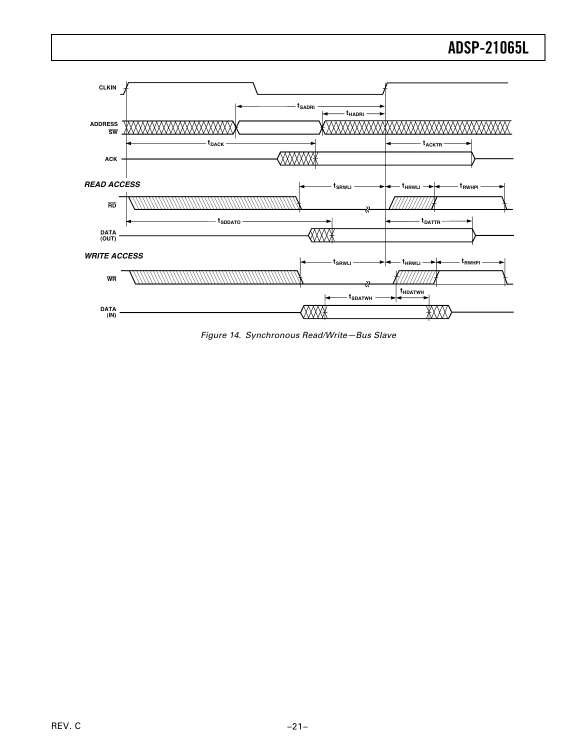

Figure 14. Synchronous Read/Write—Bus Slave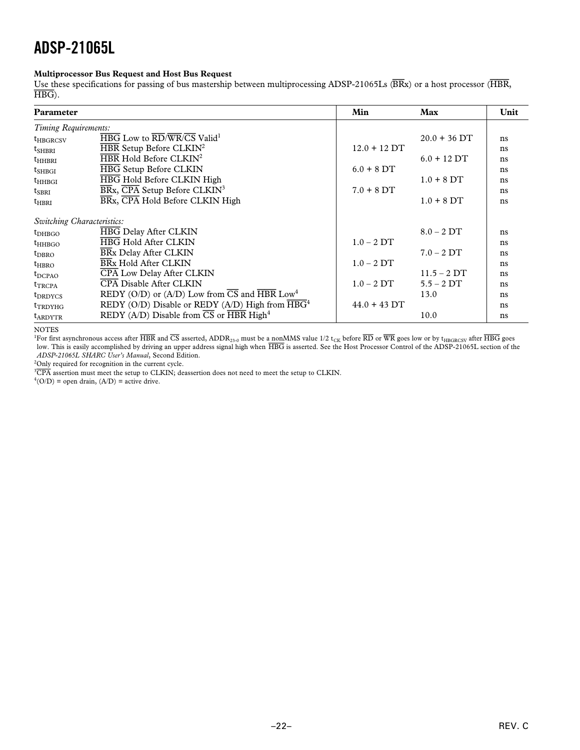### **Multiprocessor Bus Request and Host Bus Request**

Use these specifications for passing of bus mastership between multiprocessing ADSP-21065Ls (*BR*x) or a host processor (*HBR*, *HBG*).

| Parameter                  |                                                                                                         | Min            | Max            | Unit |
|----------------------------|---------------------------------------------------------------------------------------------------------|----------------|----------------|------|
| Timing Requirements:       |                                                                                                         |                |                |      |
| <b>t</b> HBGRCSV           | $\overline{\text{HBG}}$ Low to $\overline{\text{RD}/\text{WR}}/\overline{\text{CS}}$ Valid <sup>1</sup> |                | $20.0 + 36$ DT | ns   |
| $t_{\rm SHBRI}$            | $\overline{\text{HBR}}$ Setup Before CLKIN <sup>2</sup>                                                 | $12.0 + 12$ DT |                | ns   |
| $t_{HHBRI}$                | HBR Hold Before CLKIN <sup>2</sup>                                                                      |                | $6.0 + 12$ DT  | ns   |
| $t_{\rm SHBGI}$            | <b>HBG Setup Before CLKIN</b>                                                                           | $6.0 + 8$ DT   |                | ns   |
| $t_{HHBGI}$                | HBG Hold Before CLKIN High                                                                              |                | $1.0 + 8$ DT   | ns   |
| $t_{SBRI}$                 | $\overline{\text{BR}}$ x, $\overline{\text{CPA}}$ Setup Before CLKIN <sup>3</sup>                       | $7.0 + 8$ DT   |                | ns   |
| $t_{HRRI}$                 | BRx, CPA Hold Before CLKIN High                                                                         |                | $1.0 + 8$ DT   | ns   |
| Switching Characteristics: |                                                                                                         |                |                |      |
| $t_{DHBGO}$                | <b>HBG Delay After CLKIN</b>                                                                            |                | $8.0 - 2DT$    | ns   |
| $t_{HHBGO}$                | <b>HBG Hold After CLKIN</b>                                                                             | $1.0 - 2DT$    |                | ns   |
| $t_{DBRO}$                 | <b>BRx Delay After CLKIN</b>                                                                            |                | $7.0 - 2DT$    | ns   |
| $t_{\rm HBRO}$             | BRx Hold After CLKIN                                                                                    | $1.0 - 2DT$    |                | ns   |
| $t_{DCPAO}$                | <b>CPA Low Delay After CLKIN</b>                                                                        |                | $11.5 - 2DT$   | ns   |
| <b>t</b> TRCPA             | <b>CPA Disable After CLKIN</b>                                                                          | $1.0 - 2DT$    | $5.5 - 2DT$    | ns   |
| $t_{DRDYCS}$               | REDY (O/D) or (A/D) Low from $\overline{CS}$ and $\overline{HBR}$ Low <sup>4</sup>                      |                | 13.0           | ns   |
| t <sub>TRDYHG</sub>        | REDY (O/D) Disable or REDY (A/D) High from $\overline{\text{HBG}}^4$                                    | $44.0 + 43$ DT |                | ns   |
| <b>t</b> ARDYTR            | REDY (A/D) Disable from $\overline{CS}$ or $\overline{HBR}$ High <sup>4</sup>                           |                | 10.0           | ns   |

NOTES

 $^1$ For first asynchronous access after  $\overline{\text{HBR}}$  and  $\overline{\text{CS}}$  asserted, ADDR<sub>23-0</sub> must be a nonMMS value 1/2 t<sub>CK</sub> before  $\overline{\text{RD}}$  goes low or by t<sub>HBGRCSV</sub> after  $\overline{\text{HBG}}$  goes low. This is easily accomplished by driving an upper address signal high when  $\overline{\text{HBG}}$  is asserted. See the Host Processor Control of the ADSP-21065L section of the *ADSP-21065L SHARC User's Manual*, Second Edition.

<sup>2</sup>Only required for recognition in the current cycle.

3 *CPA* assertion must meet the setup to CLKIN; deassertion does not need to meet the setup to CLKIN.

 $^{4}$ (O/D) = open drain, (A/D) = active drive.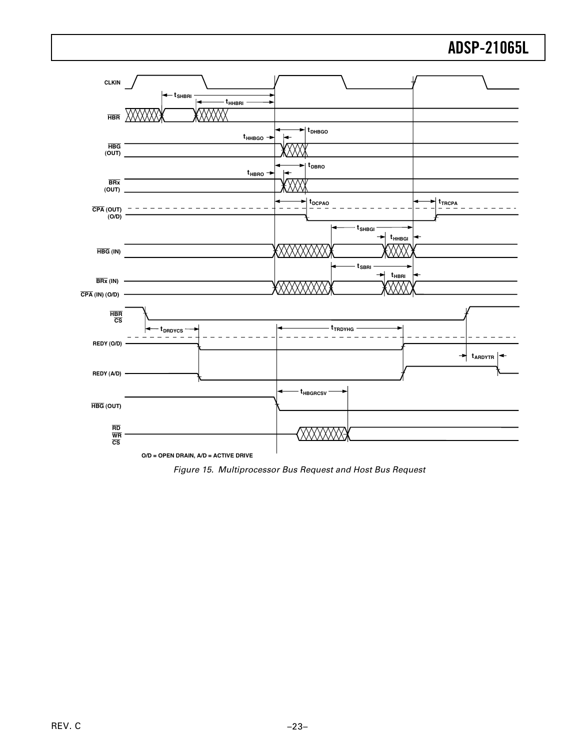

Figure 15. Multiprocessor Bus Request and Host Bus Request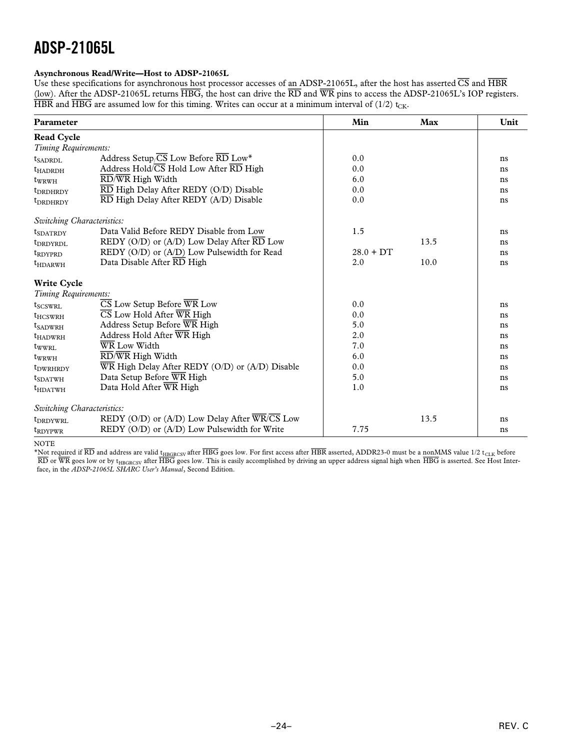### **Asynchronous Read/Write—Host to ADSP-21065L**

Use these specifications for asynchronous host processor accesses of an ADSP-21065L, after the host has asserted *CS* and *HBR* (low). After the ADSP-21065L returns *HBG*, the host can drive the *RD* and *WR* pins to access the ADSP-21065L's IOP registers.  $\overline{HBR}$  and  $\overline{HBG}$  are assumed low for this timing. Writes can occur at a minimum interval of (1/2) t<sub>CK</sub>.

| Parameter                   |                                                                              | Min         | Max  | Unit |
|-----------------------------|------------------------------------------------------------------------------|-------------|------|------|
| <b>Read Cycle</b>           |                                                                              |             |      |      |
| Timing Requirements:        |                                                                              |             |      |      |
| $t_{SADRDI}$                | Address Setup/ $\overline{\text{CS}}$ Low Before $\overline{\text{RD}}$ Low* | 0.0         |      | ns   |
| <b>t</b> HADRDH             | Address Hold/CS Hold Low After RD High                                       | 0.0         |      | ns   |
| $t_{\rm WRWH}$              | RD/WR High Width                                                             | 6.0         |      | ns   |
| t <sub>DRDHRDY</sub>        | RD High Delay After REDY (O/D) Disable                                       | 0.0         |      | ns   |
| <b>t</b> DRDHRDY            | RD High Delay After REDY (A/D) Disable                                       | 0.0         |      | ns   |
| Switching Characteristics:  |                                                                              |             |      |      |
| t <sub>SDATRDY</sub>        | Data Valid Before REDY Disable from Low                                      | 1.5         |      | ns   |
| t <sub>DRDYRDL</sub>        | REDY (O/D) or (A/D) Low Delay After $\overline{RD}$ Low                      |             | 13.5 | ns   |
| t <sub>rdyprd</sub>         | REDY (O/D) or (A/D) Low Pulsewidth for Read                                  | $28.0 + DT$ |      | ns   |
| $t_{HDARWH}$                | Data Disable After RD High                                                   | 2.0         | 10.0 | ns   |
| <b>Write Cycle</b>          |                                                                              |             |      |      |
| Timing Requirements:        |                                                                              |             |      |      |
| $t_{SCSWRL}$                | $\overline{\text{CS}}$ Low Setup Before $\overline{\text{WR}}$ Low           | 0.0         |      | ns   |
| $t_{HCSWRH}$                | $\overline{\text{CS}}$ Low Hold After $\overline{\text{WR}}$ High            | 0.0         |      | ns   |
| $t_{SADWRH}$                | Address Setup Before WR High                                                 | 5.0         |      | ns   |
| t <sub>HADWRH</sub>         | Address Hold After WR High                                                   | 2.0         |      | ns   |
| $t_{\text{WWRL}}$           | WR Low Width                                                                 | 7.0         |      | ns   |
| $t_{WRWH}$                  | RD/WR High Width                                                             | 6.0         |      | ns   |
| <i>t</i> <sub>DWRHRDY</sub> | $\overline{\text{WR}}$ High Delay After REDY (O/D) or (A/D) Disable          | 0.0         |      | ns   |
| $t_{SDATWH}$                | Data Setup Before WR High                                                    | 5.0         |      | ns   |
| $t_{HDATWH}$                | Data Hold After WR High                                                      | 1.0         |      | ns   |
| Switching Characteristics:  |                                                                              |             |      |      |
| t <sub>DRDYWRL</sub>        | REDY (O/D) or (A/D) Low Delay After $\overline{WR}$ /CS Low                  |             | 13.5 | ns   |
| t <sub>RDYPWR</sub>         | $REDY (O/D)$ or $(A/D)$ Low Pulsewidth for Write                             | 7.75        |      | ns   |

NOTE

\*Not required if *RD* and address are valid tHBGRCSV after *HBG* goes low. For first access after *HBR* asserted, ADDR23-0 must be a nonMMS value 1/2 tCLK before  $R$ D or WR goes low or by t<sub>HBGRCSV</sub> after  $H$ BG goes low. This is easily accomplished by driving an upper address signal high when  $H$ BG is asserted. See Host Interface, in the *ADSP-21065L SHARC User's Manual*, Second Edition.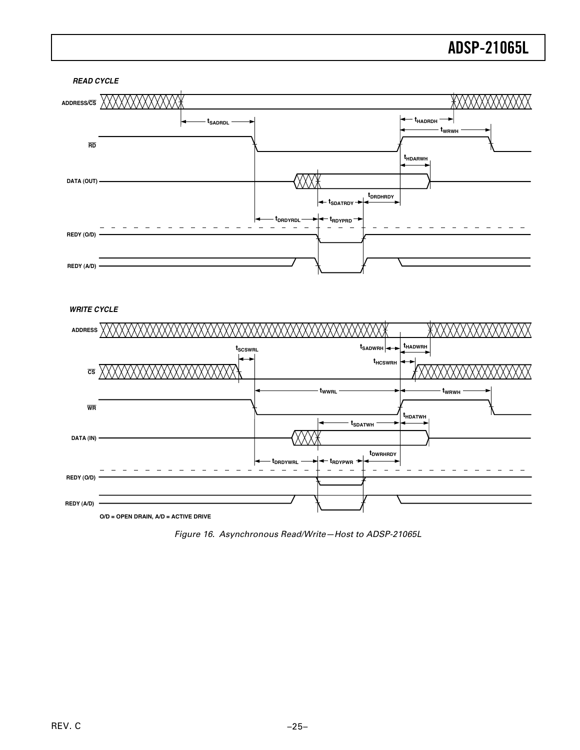

*WRITE CYCLE*



Figure 16. Asynchronous Read/Write—Host to ADSP-21065L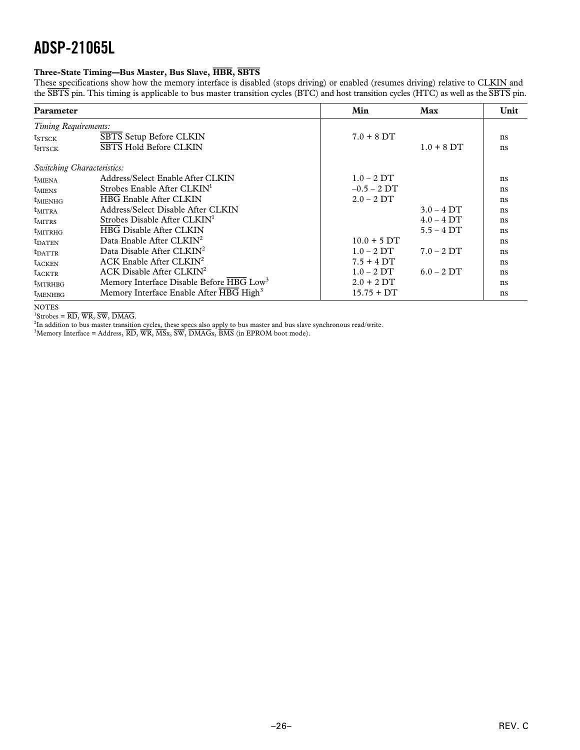### **Three-State Timing—Bus Master, Bus Slave, HBR, SBTS**

These specifications show how the memory interface is disabled (stops driving) or enabled (resumes driving) relative to CLKIN and the *SBTS* pin. This timing is applicable to bus master transition cycles (BTC) and host transition cycles (HTC) as well as the *SBTS* pin.

| Parameter                  |                                                      | Min           | Max          | Unit |
|----------------------------|------------------------------------------------------|---------------|--------------|------|
| Timing Requirements:       |                                                      |               |              |      |
| $t_{STSCK}$                | SBTS Setup Before CLKIN                              | $7.0 + 8$ DT  |              | ns   |
| $t_{HTSCK}$                | <b>SBTS Hold Before CLKIN</b>                        |               | $1.0 + 8$ DT | ns   |
| Switching Characteristics: |                                                      |               |              |      |
| $t_{\text{MIFNA}}$         | Address/Select Enable After CLKIN                    | $1.0 - 2DT$   |              | ns   |
| $t_{\text{MIENS}}$         | Strobes Enable After CLKIN <sup>1</sup>              | $-0.5 - 2DT$  |              | ns   |
| $t_{\text{MIENHG}}$        | <b>HBG Enable After CLKIN</b>                        | $2.0 - 2DT$   |              | ns   |
| $t_{\text{MITRA}}$         | Address/Select Disable After CLKIN                   |               | $3.0 - 4$ DT | ns   |
| $t_{\text{MITRS}}$         | Strobes Disable After CLKIN <sup>1</sup>             |               | $4.0 - 4DT$  | ns   |
| $t_{\text{MITRHG}}$        | <b>HBG Disable After CLKIN</b>                       |               | $5.5 - 4DT$  | ns   |
| $t_{\text{DATA}}$          | Data Enable After $CLKIN2$                           | $10.0 + 5 DT$ |              | ns   |
| $t_{\text{DATTR}}$         | Data Disable After CLKIN <sup>2</sup>                | $1.0 - 2DT$   | $7.0 - 2DT$  | ns   |
| <b>t</b> <sub>ACKEN</sub>  | ACK Enable After $CLKIN2$                            | $7.5 + 4DT$   |              | ns   |
| $t_{ACKTR}$                | $ACK$ Disable After $CLKIN2$                         | $1.0 - 2DT$   | $6.0 - 2DT$  | ns   |
| $t_{MTRHBG}$               | Memory Interface Disable Before HBG Low <sup>3</sup> | $2.0 + 2 DT$  |              | ns   |
| t <sub>MENHBG</sub>        | Memory Interface Enable After HBG High <sup>3</sup>  | $15.75 + DT$  |              | ns   |

NOTES

1 Strobes = *RD*, *WR*, *SW*, *DMAG*.

<sup>2</sup>In addition to bus master transition cycles, these specs also apply to bus master and bus slave synchronous read/write.<br><sup>3</sup>Memory Interface = Address, <del>RD, WR, MSx, SW, DMAGx</del>, BMS (in EPROM boot mode).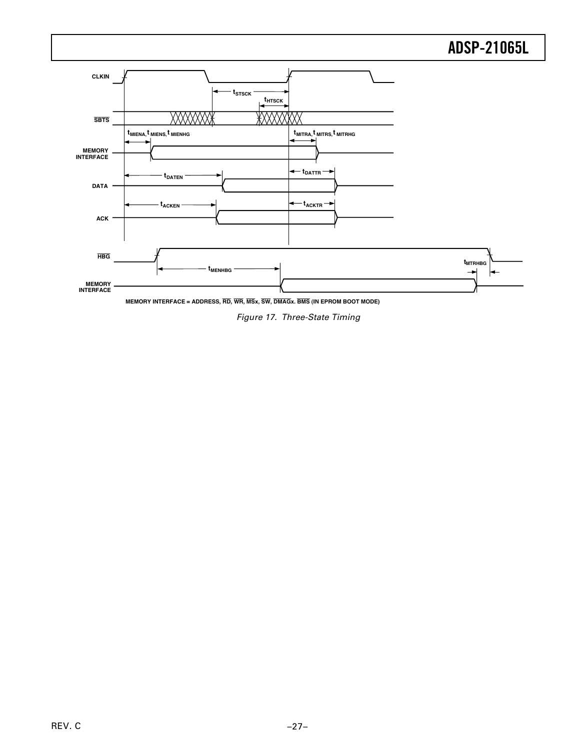

**MEMORY INTERFACE = ADDRESS, RD, WR, MSx, SW, DMAGx. BMS (IN EPROM BOOT MODE)**

Figure 17. Three-State Timing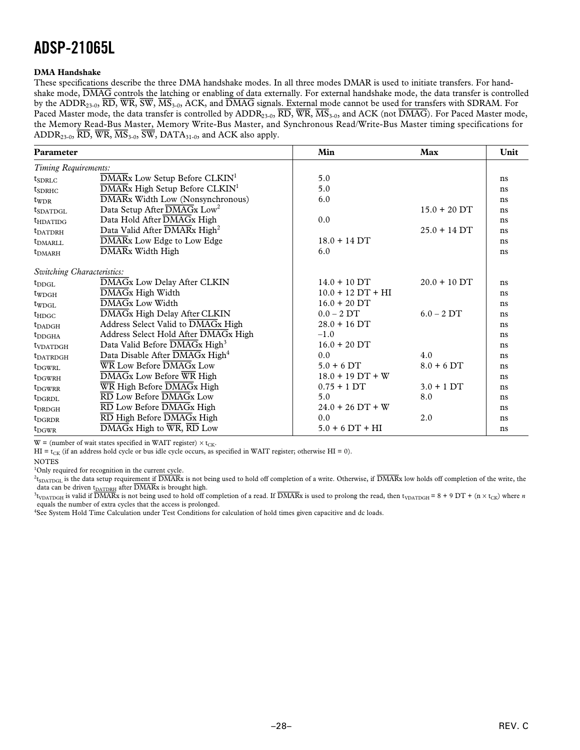### **DMA Handshake**

These specifications describe the three DMA handshake modes. In all three modes DMAR is used to initiate transfers. For handshake mode, *DMAG* controls the latching or enabling of data externally. For external handshake mode, the data transfer is controlled by the ADDR23-0, *RD*, *WR*, *SW*, *MS*3-0, ACK, and *DMAG* signals. External mode cannot be used for transfers with SDRAM. For Paced Master mode, the data transfer is controlled by ADDR<sub>23-0</sub>,  $\overline{RD}$ ,  $\overline{WR}$ ,  $\overline{MS}$ <sub>3-0</sub>, and ACK (not  $\overline{DMAG}$ ). For Paced Master mode, the Memory Read-Bus Master, Memory Write-Bus Master, and Synchronous Read/Write-Bus Master timing specifications for ADDR23-0, *RD*, *WR*, *MS*3-0, *SW*, DATA31-0, and ACK also apply.

| Parameter                  |                                                                                    | Min                 | Max            | Unit |
|----------------------------|------------------------------------------------------------------------------------|---------------------|----------------|------|
| Timing Requirements:       |                                                                                    |                     |                |      |
| $t_{SDRLC}$                | DMARx Low Setup Before CLKIN <sup>1</sup>                                          | 5.0                 |                | ns   |
| $t_{SDRHC}$                | DMARx High Setup Before CLKIN <sup>1</sup>                                         | 5.0                 |                | ns   |
| $t_{\text{WDR}}$           | DMARx Width Low (Nonsynchronous)                                                   | 6.0                 |                | ns   |
| $t_{SDATDGL}$              | Data Setup After DMAGx Low <sup>2</sup>                                            |                     | $15.0 + 20$ DT | ns   |
| $t_{HDATIDG}$              | Data Hold After DMAGx High                                                         | 0.0                 |                | ns   |
| <b>t</b> DATDRH            | Data Valid After DMARx High <sup>2</sup>                                           |                     | $25.0 + 14$ DT | ns   |
| $t_{DMARLL}$               | DMARx Low Edge to Low Edge                                                         | $18.0 + 14$ DT      |                | ns   |
| $t_{DMARH}$                | DMARx Width High                                                                   | 6.0                 |                | ns   |
| Switching Characteristics: |                                                                                    |                     |                |      |
| $t_{\rm DDGI}$             | DMAGx Low Delay After CLKIN                                                        | $14.0 + 10$ DT      | $20.0 + 10$ DT | ns   |
| $t_{WDGH}$                 | DMAGx High Width                                                                   | $10.0 + 12 DT + HI$ |                | ns   |
| $t_{WDGL}$                 | DMAGx Low Width                                                                    | $16.0 + 20$ DT      |                | ns   |
| $t_{\text{HDGC}}$          | DMAGx High Delay After CLKIN                                                       | $0.0 - 2 DT$        | $6.0 - 2DT$    | ns   |
| $t_{\rm DADGH}$            | Address Select Valid to DMAGx High                                                 | $28.0 + 16$ DT      |                | ns   |
| $t_{\text{DDGHA}}$         | Address Select Hold After DMAGx High                                               | $-1.0$              |                | ns   |
| t <sub>VDATDGH</sub>       | Data Valid Before DMAGx High <sup>3</sup>                                          | $16.0 + 20$ DT      |                | ns   |
| <b>t</b> DATRDGH           | Data Disable After DMAGx High <sup>4</sup>                                         | 0.0                 | 4.0            | ns   |
| $t_{DGWRL}$                | $\overline{\text{WR}}$ Low Before $\overline{\text{DMAGx}}$ Low                    | $5.0 + 6$ DT        | $8.0 + 6$ DT   | ns   |
| $t_{DGWRH}$                | DMAGx Low Before WR High                                                           | $18.0 + 19 DT + W$  |                | ns   |
| $t_{DGWRR}$                | WR High Before DMAGx High                                                          | $0.75 + 1DT$        | $3.0 + 1 DT$   | ns   |
| $t_{DGRDL}$                | RD Low Before DMAGx Low                                                            | 5.0                 | 8.0            | ns   |
| $t_{DRDGH}$                | $\overline{\text{RD}}$ Low Before $\overline{\text{DMAGx}}$ High                   | $24.0 + 26 DT + W$  |                | ns   |
| $t_{DGRDR}$                | RD High Before DMAGx High                                                          | 0.0                 | 2.0            | ns   |
| $t_{\rm DGWR}$             | $\overline{\text{DMAGx}}$ High to $\overline{\text{WR}}, \overline{\text{RD}}$ Low | $5.0 + 6 DT + HI$   |                | ns   |

W = (number of wait states specified in WAIT register)  $\times$  t<sub>CK</sub>.

HI = t<sub>CK</sub> (if an address hold cycle or bus idle cycle occurs, as specified in WAIT register; otherwise HI = 0).

NOTES

<sup>1</sup>Only required for recognition in the current cycle.

2 tSDATDGL is the data setup requirement if *DMAR*x is not being used to hold off completion of a write. Otherwise, if *DMAR*x low holds off completion of the write, the data can be driven t<sub>DATDRH</sub> after  $\overline{\text{DMAR}}$ x is brought high.

 $^3$ <sub>UDATDGH</sub> is valid if  $\overline{DMAR}$ x is not being used to hold off completion of a read. If  $\overline{DMAR}$ x is used to prolong the read, then t<sub>VDATDGH</sub> = 8 + 9 DT + (n × t<sub>CK</sub>) where *n* equals the number of extra cycles that the access is prolonged.

4 See System Hold Time Calculation under Test Conditions for calculation of hold times given capacitive and dc loads.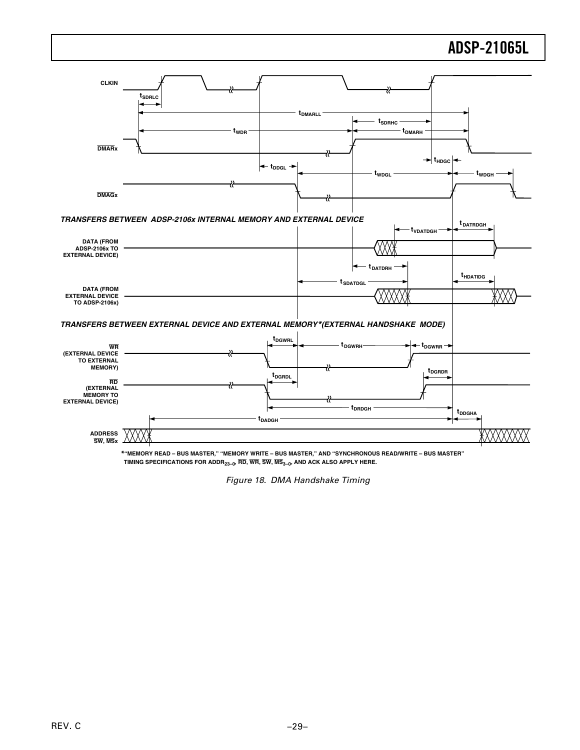

**\*"MEMORY READ – BUS MASTER," "MEMORY WRITE – BUS MASTER," AND "SYNCHRONOUS READ/WRITE – BUS MASTER" TIMING SPECIFICATIONS FOR ADDR23–0, RD, WR, SW, MS3–0, AND ACK ALSO APPLY HERE.** 

Figure 18. DMA Handshake Timing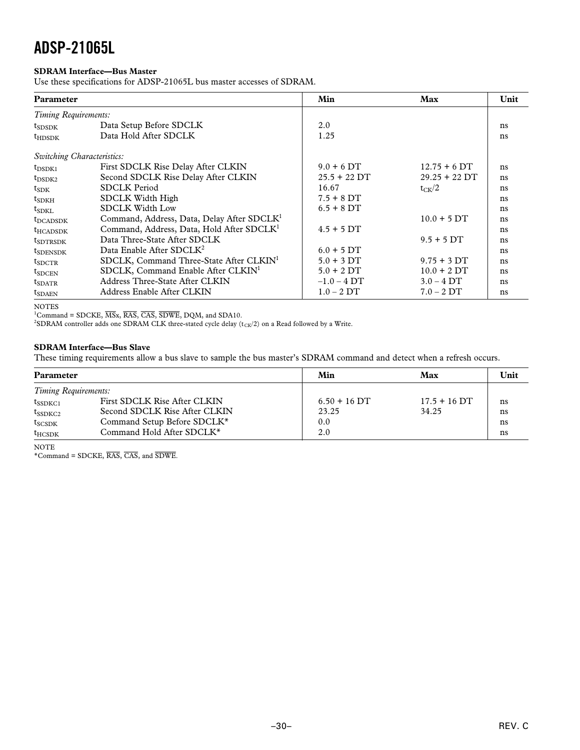### **SDRAM Interface—Bus Master**

Use these specifications for ADSP-21065L bus master accesses of SDRAM.

| <b>Parameter</b>            |                                                        | Min            | Max             | Unit |
|-----------------------------|--------------------------------------------------------|----------------|-----------------|------|
| Timing Requirements:        |                                                        |                |                 |      |
| $t_{SDSDK}$                 | Data Setup Before SDCLK                                | 2.0            |                 | ns   |
| $t_{\text{HDSDK}}$          | Data Hold After SDCLK                                  | 1.25           |                 | ns   |
| Switching Characteristics:  |                                                        |                |                 |      |
| $t_{\rm DSDK1}$             | First SDCLK Rise Delay After CLKIN                     | $9.0 + 6$ DT   | $12.75 + 6$ DT  | ns   |
| $t_{\rm DSDK2}$             | Second SDCLK Rise Delay After CLKIN                    | $25.5 + 22$ DT | $29.25 + 22$ DT | ns   |
| $t_{SDK}$                   | <b>SDCLK Period</b>                                    | 16.67          | $t_{CK}/2$      | ns   |
| $t_{SDKH}$                  | <b>SDCLK Width High</b>                                | $7.5 + 8$ DT   |                 | ns   |
| t <sub>SDKI</sub>           | <b>SDCLK Width Low</b>                                 | $6.5 + 8$ DT   |                 | ns   |
| <b>t</b> DCADSDK            | Command, Address, Data, Delay After SDCLK <sup>1</sup> |                | $10.0 + 5$ DT   | ns   |
| $t_{HCADSDK}$               | Command, Address, Data, Hold After SDCLK <sup>1</sup>  | $4.5 + 5DT$    |                 | ns   |
| <b>t</b> <sub>SDTRSDK</sub> | Data Three-State After SDCLK                           |                | $9.5 + 5DT$     | ns   |
| $t_{S$ DENSDK               | Data Enable After SDCLK <sup>2</sup>                   | $6.0 + 5$ DT   |                 | ns   |
| $t_{SDCTR}$                 | SDCLK, Command Three-State After CLKIN <sup>1</sup>    | $5.0 + 3$ DT   | $9.75 + 3$ DT   | ns   |
| $t_{\text{SDCEN}}$          | SDCLK, Command Enable After CLKIN <sup>1</sup>         | $5.0 + 2 DT$   | $10.0 + 2 DT$   | ns   |
| $t_{SDATR}$                 | Address Three-State After CLKIN                        | $-1.0 - 4$ DT  | $3.0 - 4DT$     | ns   |
| $t_{SDAEN}$                 | Address Enable After CLKIN                             | $1.0 - 2DT$    | $7.0 - 2DT$     | ns   |

NOTES

1 Command = SDCKE, *MS*x, *RAS*, *CAS*, *SDWE*, DQM, and SDA10.

 $^2$ SDRAM controller adds one SDRAM CLK three-stated cycle delay (t $_{\rm CK}/2)$  on a Read followed by a Write.

### **SDRAM Interface—Bus Slave**

These timing requirements allow a bus slave to sample the bus master's SDRAM command and detect when a refresh occurs.

| Parameter            |                               | Min            | Max            | Unit |
|----------------------|-------------------------------|----------------|----------------|------|
| Timing Requirements: |                               |                |                |      |
| $t_{SSDKC1}$         | First SDCLK Rise After CLKIN  | $6.50 + 16$ DT | $17.5 + 16$ DT | ns   |
| $t_{SSDKC2}$         | Second SDCLK Rise After CLKIN | 23.25          | 34.25          | ns   |
| $t_{SCSDK}$          | Command Setup Before SDCLK*   | 0.0            |                | ns   |
| $t_{HCSDK}$          | Command Hold After SDCLK*     | 2.0            |                | ns   |

NOTE

\*Command = SDCKE, *RAS*, *CAS*, and *SDWE*.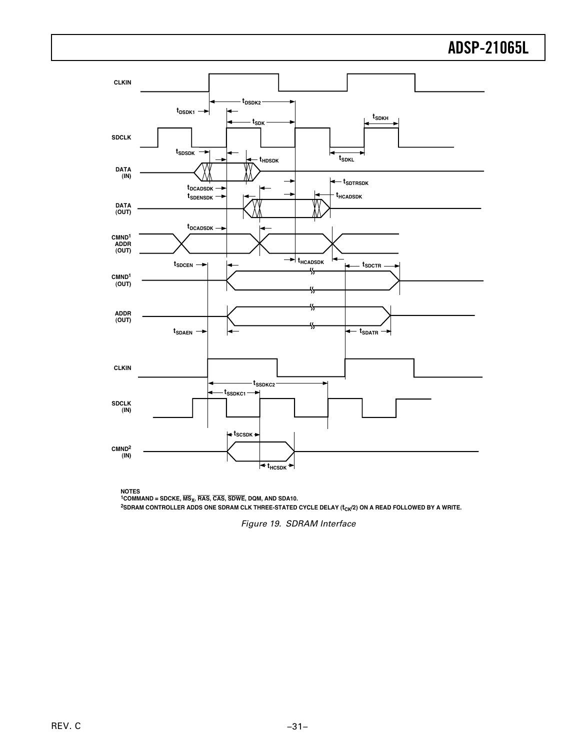

**NOTES 1COMMAND = SDCKE, MSX, RAS, CAS, SDWE, DQM, AND SDA10.** <sup>2</sup>SDRAM CONTROLLER ADDS ONE SDRAM CLK THREE-STATED CYCLE DELAY ( $t_{CK}/2$ ) ON A READ FOLLOWED BY A WRITE.

Figure 19. SDRAM Interface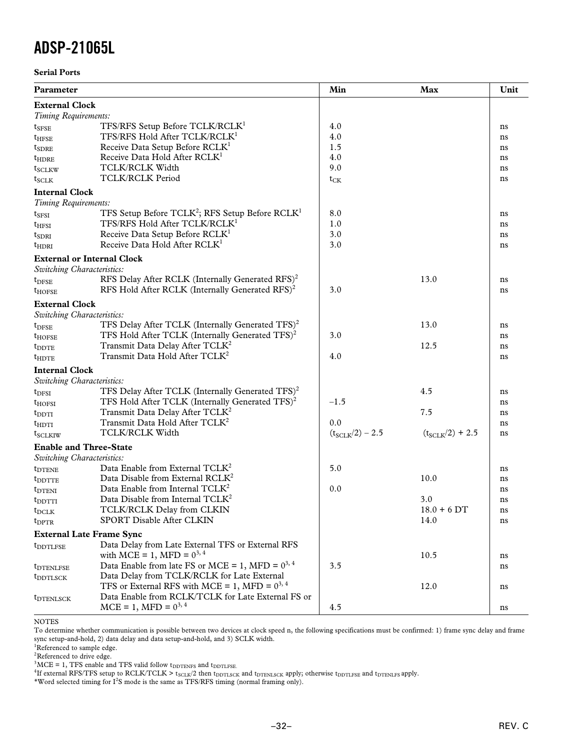### **Serial Ports**

| Parameter                         |                                                                         | Min                  | Max                  | Unit |
|-----------------------------------|-------------------------------------------------------------------------|----------------------|----------------------|------|
| <b>External Clock</b>             |                                                                         |                      |                      |      |
| Timing Requirements:              |                                                                         |                      |                      |      |
| $\mathsf{t}_{\text{SFSE}}$        | TFS/RFS Setup Before TCLK/RCLK <sup>1</sup>                             | 4.0                  |                      | ns   |
| $t_{\rm HFSE}$                    | TFS/RFS Hold After TCLK/RCLK <sup>1</sup>                               | 4.0                  |                      | ns   |
| $\mathfrak{r}_{\mathrm{SDRE}}$    | Receive Data Setup Before RCLK <sup>1</sup>                             | 1.5                  |                      | ns   |
| $t_{\rm HDRE}$                    | Receive Data Hold After RCLK <sup>1</sup>                               | 4.0                  |                      | ns   |
| t <sub>sclkw</sub>                | <b>TCLK/RCLK Width</b>                                                  | 9.0                  |                      | ns   |
| $t_{SCLK}$                        | <b>TCLK/RCLK Period</b>                                                 | $t_{CK}$             |                      | ns   |
| <b>Internal Clock</b>             |                                                                         |                      |                      |      |
| Timing Requirements:              |                                                                         |                      |                      |      |
| $t_{\rm SFSI}$                    | TFS Setup Before TCLK <sup>2</sup> ; RFS Setup Before RCLK <sup>1</sup> | 8.0                  |                      | ns   |
| $t_{\rm HFSI}$                    | TFS/RFS Hold After TCLK/RCLK <sup>1</sup>                               | 1.0                  |                      | ns   |
| $t_{SDRI}$                        | Receive Data Setup Before RCLK <sup>1</sup>                             | 3.0                  |                      | ns   |
| $t_{\rm HDRI}$                    | Receive Data Hold After RCLK <sup>1</sup>                               | 3.0                  |                      | ns   |
| <b>External or Internal Clock</b> |                                                                         |                      |                      |      |
| Switching Characteristics:        |                                                                         |                      |                      |      |
| $t_{DFSE}$                        | RFS Delay After RCLK (Internally Generated RFS) <sup>2</sup>            |                      | 13.0                 | ns   |
| $t_{\text{HOFSE}}$                | RFS Hold After RCLK (Internally Generated RFS) <sup>2</sup>             | 3.0                  |                      | ns   |
| <b>External Clock</b>             |                                                                         |                      |                      |      |
| Switching Characteristics:        |                                                                         |                      |                      |      |
| $t_{\rm{DFSE}}$                   | TFS Delay After TCLK (Internally Generated TFS) <sup>2</sup>            |                      | 13.0                 | ns   |
| t <sub>HOFSE</sub>                | TFS Hold After TCLK (Internally Generated TFS) <sup>2</sup>             | 3.0                  |                      | ns   |
| $t_{\rm DDTE}$                    | Transmit Data Delay After TCLK <sup>2</sup>                             |                      | 12.5                 | ns   |
| $t_{\rm HDTE}$                    | Transmit Data Hold After TCLK <sup>2</sup>                              | 4.0                  |                      | ns   |
| <b>Internal Clock</b>             |                                                                         |                      |                      |      |
| Switching Characteristics:        |                                                                         |                      |                      |      |
| $t_{\rm DFSI}$                    | TFS Delay After TCLK (Internally Generated TFS) <sup>2</sup>            |                      | 4.5                  | ns   |
| t <sub>hofsi</sub>                | TFS Hold After TCLK (Internally Generated $TFS$ ) <sup>2</sup>          | $-1.5$               |                      | ns   |
| $t_{\rm DDTI}$                    | Transmit Data Delay After TCLK <sup>2</sup>                             |                      | 7.5                  | ns   |
| $t_{\text{HDTI}}$                 | Transmit Data Hold After TCLK <sup>2</sup>                              | 0.0                  |                      | ns   |
| t <sub>SCLKIW</sub>               | <b>TCLK/RCLK Width</b>                                                  | $(t_{SCLK}/2) - 2.5$ | $(t_{SCLK}/2) + 2.5$ | ns   |
| <b>Enable and Three-State</b>     |                                                                         |                      |                      |      |
| Switching Characteristics:        |                                                                         |                      |                      |      |
| t <sub>DTENE</sub>                | Data Enable from External TCLK <sup>2</sup>                             | 5.0                  |                      | ns   |
| t <sub>DDTTE</sub>                | Data Disable from External RCLK <sup>2</sup>                            |                      | 10.0                 | ns   |
| $t_{DTENI}$                       | Data Enable from Internal TCLK <sup>2</sup>                             | 0.0                  |                      | ns   |
| $t_{\rm DDTTI}$                   | Data Disable from Internal $TCLK2$                                      |                      | 3.0                  | ns   |
| $t_{DCLK}$                        | TCLK/RCLK Delay from CLKIN                                              |                      | $18.0 + 6 DT$        | ns   |
| $t_{\rm DPTR}$                    | SPORT Disable After CLKIN                                               |                      | 14.0                 | ns   |
| <b>External Late Frame Sync</b>   |                                                                         |                      |                      |      |
| <i>t</i> <sub>DDTLFSE</sub>       | Data Delay from Late External TFS or External RFS                       |                      |                      |      |
|                                   | with MCE = 1, MFD = $0^{3, 4}$                                          |                      | 10.5                 | ns   |
| <i>t</i> <sub>DTENLFSE</sub>      | Data Enable from late FS or MCE = 1, MFD = $0^{3, 4}$                   | 3.5                  |                      | ns   |
| t <sub>DDTLSCK</sub>              | Data Delay from TCLK/RCLK for Late External                             |                      |                      |      |
|                                   | TFS or External RFS with MCE = 1, MFD = $0^{3, 4}$                      |                      | 12.0                 | ns   |
| <b>t</b> DTENLSCK                 | Data Enable from RCLK/TCLK for Late External FS or                      |                      |                      |      |
|                                   | $MCE = 1, MFD = 0^{3, 4}$                                               | 4.5                  |                      | ns   |

NOTES

To determine whether communication is possible between two devices at clock speed n, the following specifications must be confirmed: 1) frame sync delay and frame sync setup-and-hold, 2) data delay and data setup-and-hold, and 3) SCLK width.

<sup>1</sup>Referenced to sample edge.

<sup>2</sup>Referenced to drive edge.

 $3MCE = 1$ , TFS enable and TFS valid follow  $t_{\text{DDTENFS}}$  and  $t_{\text{DDTLFSE}}$ .

<sup>4</sup>If external RFS/TFS setup to RCLK/TCLK >  $t_{SCLR}/2$  then  $t_{DDTLSCK}$  and  $t_{DTENLSCK}$  apply; otherwise  $t_{DDTLTESE}$  and  $t_{DTENLES}$  apply.

\*Word selected timing for  $I^2S$  mode is the same as TFS/RFS timing (normal framing only).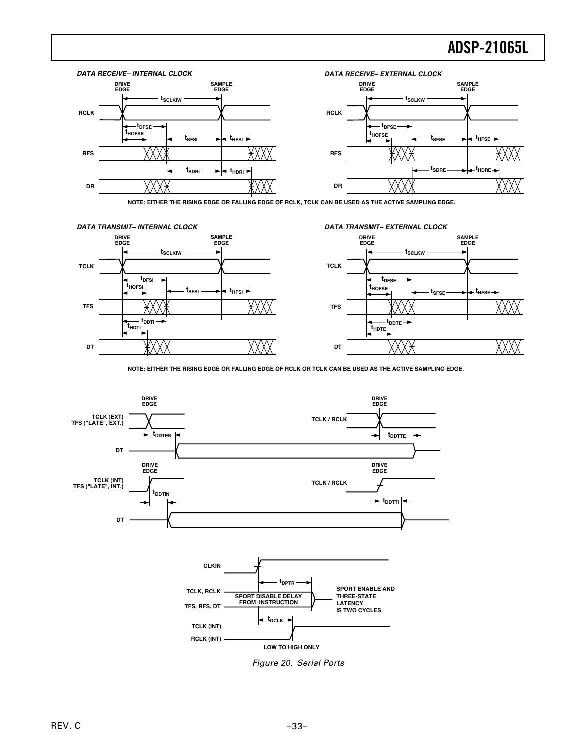

**NOTE: EITHER THE RISING EDGE OR FALLING EDGE OF RCLK, TCLK CAN BE USED AS THE ACTIVE SAMPLING EDGE.**



**NOTE: EITHER THE RISING EDGE OR FALLING EDGE OF RCLK OR TCLK CAN BE USED AS THE ACTIVE SAMPLING EDGE.**



Figure 20. Serial Ports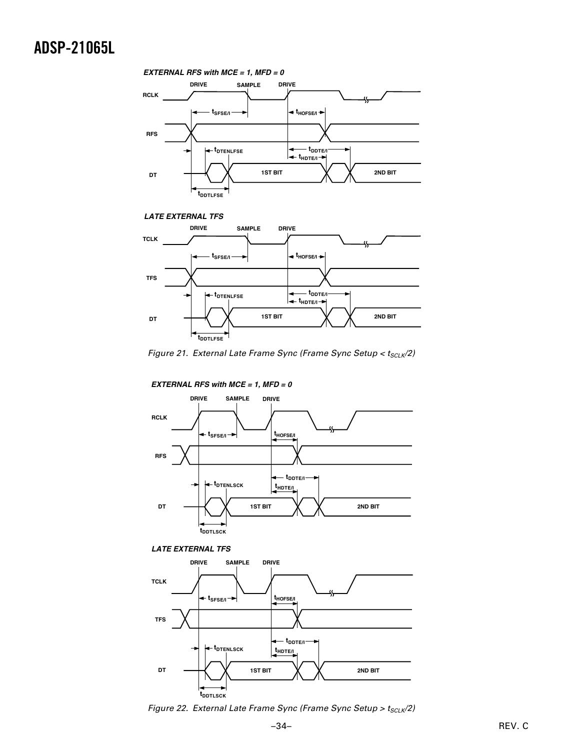### **tSFSE/I DRIVE SAMPLE DRIVE tDTENLFSE tDDTLFSE** *EXTERNAL RFS with MCE = 1, MFD = 0* **1ST BIT 2ND BIT DT RCLK RFS t** t<sub>HOFSE/I</sub> ▶  $\leftarrow$  t<sub>HDTE/I</sub> $\rightarrow$  **tDDTE/I**





Figure 21. External Late Frame Sync (Frame Sync Setup <  $t_{SCLK}/2$ )



*EXTERNAL RFS with MCE = 1, MFD = 0*





Figure 22. External Late Frame Sync (Frame Sync Setup >  $t_{SCLK}/2$ )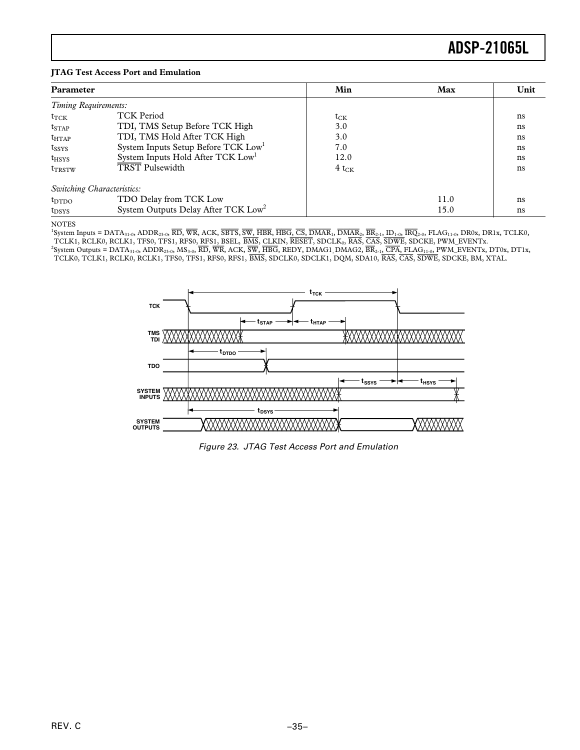### **JTAG Test Access Port and Emulation**

| <b>Parameter</b><br>Timing Requirements: |                                                 | Min                          | Max  | Unit |
|------------------------------------------|-------------------------------------------------|------------------------------|------|------|
|                                          |                                                 |                              |      |      |
| $t_{\text{TCK}}$                         | <b>TCK Period</b>                               | $\mathfrak{t}_{\mathrm{CK}}$ |      | ns   |
| $t_{STAP}$                               | TDI, TMS Setup Before TCK High                  | 3.0                          |      | ns   |
| $t_{HTAP}$                               | TDI, TMS Hold After TCK High                    | 3.0                          |      | ns   |
| $t_{SSYS}$                               | System Inputs Setup Before TCK Low <sup>1</sup> | 7.0                          |      | ns   |
| $t_{HSYS}$                               | System Inputs Hold After TCK Low <sup>1</sup>   | 12.0                         |      | ns   |
| t <sub>TRSTW</sub>                       | <b>TRST Pulsewidth</b>                          | $4 t_{CK}$                   |      | ns   |
|                                          | Switching Characteristics:                      |                              |      |      |
| $t_{\text{DTDO}}$                        | TDO Delay from TCK Low                          |                              | 11.0 | ns   |
| $t_{DSYS}$                               | System Outputs Delay After TCK Low <sup>2</sup> |                              | 15.0 | ns   |

### NOTES

1 System Inputs = DATA31-0, ADDR23-0, *RD*, *WR*, ACK, *SBTS*, *SW*, *HBR*, *HBG*, *CS*, *DMAR*1, *DMAR*2, *BR*2-1, ID1-0, *IRQ*2-0, FLAG11-0, DR0x, DR1x, TCLK0, TCLK1, RCLK0, RCLK1, TFS0, TFS1, RFS0, RFS1, BSEL, BMS, CLKIN, RESET, SDCLK<sub>0</sub>, RAS, CAS, SDWE, SDCKE, PWM\_EVENTx.<br><sup>2</sup>System Outputs = DATA<sub>31-0</sub>, ADDR<sub>23-0</sub>, MS<sub>3-0</sub>, RD, WR, ACK, SW, HBG, REDY, DMAG1<sub>,</sub> DMAG2, BR<sub>2-1</sub>, C TCLK0, TCLK1, RCLK0, RCLK1, TFS0, TFS1, RFS0, RFS1, *BMS*, SDCLK0, SDCLK1, DQM, SDA10, *RAS*, *CAS*, *SDWE*, SDCKE, BM, XTAL.



Figure 23. JTAG Test Access Port and Emulation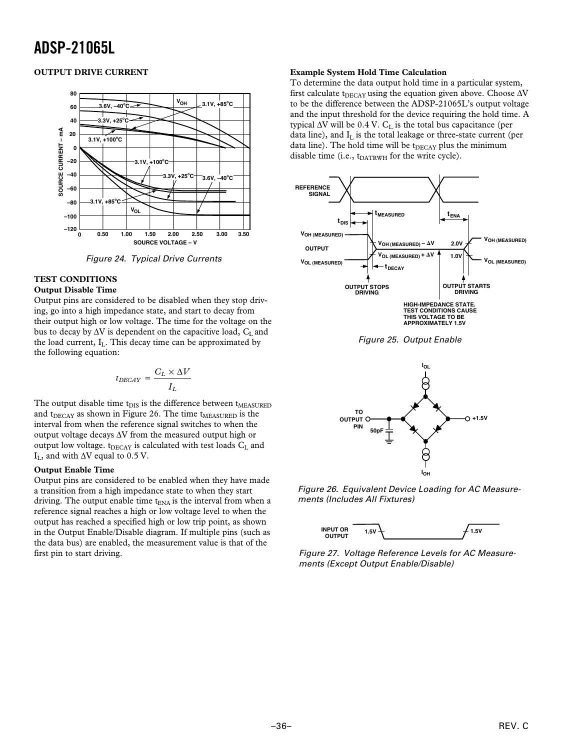### **OUTPUT DRIVE CURRENT**



Figure 24. Typical Drive Currents

### **TEST CONDITIONS**

### **Output Disable Time**

Output pins are considered to be disabled when they stop driving, go into a high impedance state, and start to decay from their output high or low voltage. The time for the voltage on the bus to decay by  $\Delta V$  is dependent on the capacitive load,  $C_L$  and the load current,  $I_L$ . This decay time can be approximated by the following equation:

$$
t_{DECAY} = \frac{C_L \times \Delta V}{I_L}
$$

The output disable time  $t_{DIS}$  is the difference between  $t_{MEASURED}$ and  $t_{\text{DECAY}}$  as shown in Figure 26. The time  $t_{\text{MEASURED}}$  is the interval from when the reference signal switches to when the output voltage decays  $\Delta V$  from the measured output high or output low voltage.  $t_{DECAY}$  is calculated with test loads  $C_L$  and  $I_L$ , and with  $\Delta V$  equal to 0.5 V.

### **Output Enable Time**

Output pins are considered to be enabled when they have made a transition from a high impedance state to when they start driving. The output enable time  $t_{ENA}$  is the interval from when a reference signal reaches a high or low voltage level to when the output has reached a specified high or low trip point, as shown in the Output Enable/Disable diagram. If multiple pins (such as the data bus) are enabled, the measurement value is that of the first pin to start driving.

#### **Example System Hold Time Calculation**

To determine the data output hold time in a particular system, first calculate  $t_{\text{DECAY}}$  using the equation given above. Choose  $\Delta V$ to be the difference between the ADSP-21065L's output voltage and the input threshold for the device requiring the hold time. A typical  $\Delta V$  will be 0.4 V.  $C_L$  is the total bus capacitance (per data line), and  $I_L$  is the total leakage or three-state current (per data line). The hold time will be t<sub>DECAY</sub> plus the minimum disable time (i.e., t<sub>DATRWH</sub> for the write cycle).





Figure 26. Equivalent Device Loading for AC Measurements (Includes All Fixtures)



Figure 27. Voltage Reference Levels for AC Measurements (Except Output Enable/Disable)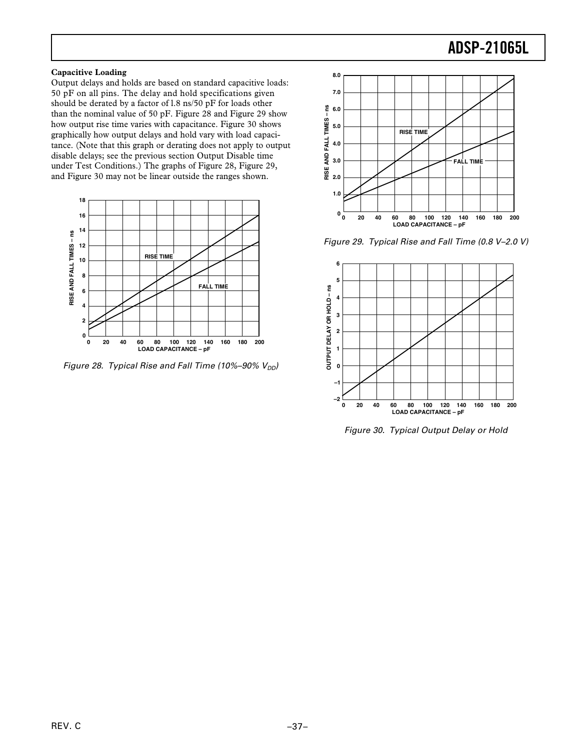### **Capacitive Loading**

Output delays and holds are based on standard capacitive loads: 50 pF on all pins. The delay and hold specifications given should be derated by a factor of l.8 ns/50 pF for loads other than the nominal value of 50 pF. Figure 28 and Figure 29 show how output rise time varies with capacitance. Figure 30 shows graphically how output delays and hold vary with load capacitance. (Note that this graph or derating does not apply to output disable delays; see the previous section Output Disable time under Test Conditions.) The graphs of Figure 28, Figure 29, and Figure 30 may not be linear outside the ranges shown.



Figure 28. Typical Rise and Fall Time (10%–90%  $V_{DD}$ )



Figure 29. Typical Rise and Fall Time (0.8 V–2.0 V)



Figure 30. Typical Output Delay or Hold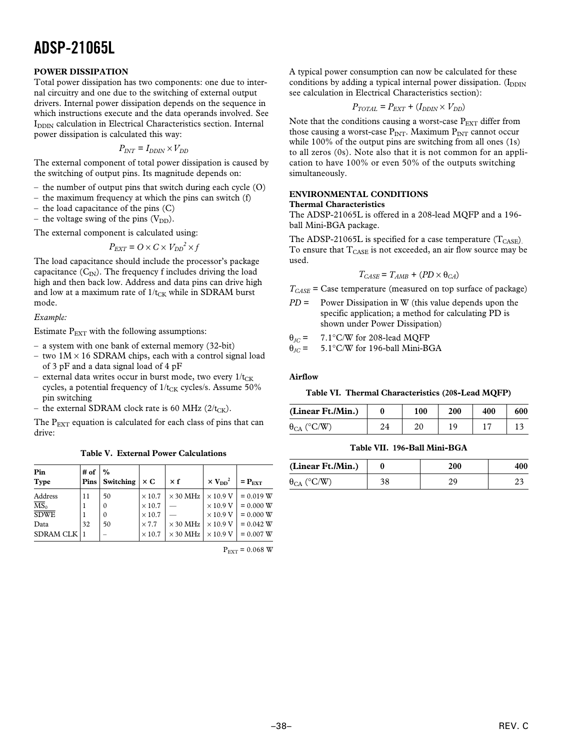### **POWER DISSIPATION**

Total power dissipation has two components: one due to internal circuitry and one due to the switching of external output drivers. Internal power dissipation depends on the sequence in which instructions execute and the data operands involved. See I<sub>DDIN</sub> calculation in Electrical Characteristics section. Internal power dissipation is calculated this way:

$$
P_{INT} = I_{DDIN} \times V_{DD}
$$

The external component of total power dissipation is caused by the switching of output pins. Its magnitude depends on:

- the number of output pins that switch during each cycle (O)
- the maximum frequency at which the pins can switch (f)
- the load capacitance of the pins (C)
- the voltage swing of the pins  $(V_{DD})$ .

The external component is calculated using:

$$
P_{EXT} = O \times C \times V_{DD}^2 \times f
$$

The load capacitance should include the processor's package capacitance  $(C_{\text{IN}})$ . The frequency f includes driving the load high and then back low. Address and data pins can drive high and low at a maximum rate of  $1/t_{CK}$  while in SDRAM burst mode.

### *Example:*

Estimate  $P_{\text{EXT}}$  with the following assumptions:

- a system with one bank of external memory (32-bit)
- two  $1M \times 16$  SDRAM chips, each with a control signal load of 3 pF and a data signal load of 4 pF
- external data writes occur in burst mode, two every  $1/t_{CK}$ cycles, a potential frequency of  $1/t_{CK}$  cycles/s. Assume 50% pin switching
- the external SDRAM clock rate is 60 MHz ( $2/t_{CK}$ ).

The  $P_{\text{EXT}}$  equation is calculated for each class of pins that can drive:

**Table V. External Power Calculations**

| Pin<br><b>Type</b>                  | # of<br>Pins | $\%$<br>Switching  | $\times C$                     | $\times f$      | $\times$ $V_{DD}^2$                | $=$ $P_{\text{EXT}}$       |
|-------------------------------------|--------------|--------------------|--------------------------------|-----------------|------------------------------------|----------------------------|
| Address<br>$\overline{\text{MS}}_0$ | 11           | 50<br>$\mathbf{0}$ | $\times$ 10.7<br>$\times$ 10.7 | $\times$ 30 MHz | $\times$ 10.9 V<br>$\times$ 10.9 V | $= 0.019 W$<br>$= 0.000 W$ |
| <b>SDWE</b>                         |              | $\mathbf{0}$       | $\times$ 10.7                  |                 | $\times$ 10.9 V                    | $= 0.000 W$                |
| Data                                | 32           | 50                 | $\times 7.7$                   | $\times$ 30 MHz | $\times$ 10.9 V                    | $= 0.042 W$                |
| <b>SDRAM CLK</b>                    |              |                    | $\times$ 10.7                  | $\times$ 30 MHz | $\times$ 10.9 V                    | $= 0.007 W$                |

 $P_{\text{EXT}} = 0.068 \text{ W}$ 

A typical power consumption can now be calculated for these conditions by adding a typical internal power dissipation. (I<sub>DDIN</sub> see calculation in Electrical Characteristics section):

$$
P_{TOTAL} = P_{EXT} + (I_{DDIN} \times V_{DD})
$$

Note that the conditions causing a worst-case  $P_{\text{EXT}}$  differ from those causing a worst-case  $P_{INT}$ . Maximum  $P_{INT}$  cannot occur while 100% of the output pins are switching from all ones (1s) to all zeros (0s). Note also that it is not common for an application to have 100% or even 50% of the outputs switching simultaneously.

### **ENVIRONMENTAL CONDITIONS Thermal Characteristics**

The ADSP-21065L is offered in a 208-lead MQFP and a 196 ball Mini-BGA package.

The ADSP-21065L is specified for a case temperature  $(T_{\text{CASE}})$ . To ensure that  $T_{\text{CASE}}$  is not exceeded, an air flow source may be used.

$$
T_{CASE} = T_{AMB} + (PD \times \theta_{CA})
$$

 $T_{CASE}$  = Case temperature (measured on top surface of package)

*PD* = Power Dissipation in W (this value depends upon the specific application; a method for calculating PD is shown under Power Dissipation)

 $\theta_{JC}$  = 7.1<sup>o</sup>C/W for 208-lead MQFP<br> $\theta_{JC}$  = 5.1<sup>o</sup>C/W for 196-ball Mini-B

5.1℃/W for 196-ball Mini-BGA

#### **Airflow**

### **Table VI. Thermal Characteristics (208-Lead MQFP)**

| (Linear Ft./Min.)                       |    | 100 | 200 | 400 | 600 |
|-----------------------------------------|----|-----|-----|-----|-----|
| $(^{\circ}C/W)$<br>$\theta_{\text{CA}}$ | 24 |     | ۱۵  |     |     |

### **Table VII. 196-Ball Mini-BGA**

| (Linear Ft./Min.)    |    | 200 | 400 |
|----------------------|----|-----|-----|
| $\theta_{CA}$ (°C/W) | າດ |     |     |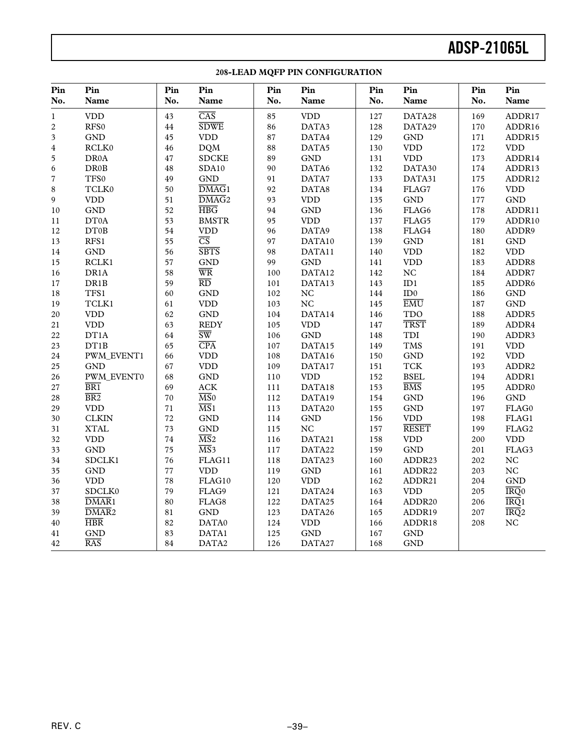| Pin<br>No.              | Pin<br>Name                 | Pin<br>No. | Pin<br>Name                | Pin<br>No. | Pin<br>Name                 | Pin<br>No. | Pin<br>Name                 | Pin<br>No. | Pin<br>Name                          |
|-------------------------|-----------------------------|------------|----------------------------|------------|-----------------------------|------------|-----------------------------|------------|--------------------------------------|
| $\mathbf{1}$            | $\ensuremath{\mathrm{VDD}}$ | 43         | $\overline{\text{CAS}}$    | 85         | $\ensuremath{\mathrm{VDD}}$ | 127        | DATA28                      | 169        | ADDR17                               |
| $\sqrt{2}$              | RFS0                        | $\bf 44$   | <b>SDWE</b>                | 86         | DATA3                       | 128        | DATA29                      | 170        | ADDR16                               |
| $\overline{\mathbf{3}}$ | <b>GND</b>                  | 45         | <b>VDD</b>                 | $\bf 87$   | DATA4                       | 129        | <b>GND</b>                  | 171        | ADDR15                               |
| $\bf 4$                 | RCLK0                       | 46         | <b>DQM</b>                 | 88         | DATA5                       | 130        | $\ensuremath{\mathrm{VDD}}$ | 172        | $\ensuremath{\mathrm{VDD}}$          |
| $\sqrt{5}$              | DR0A                        | 47         | <b>SDCKE</b>               | 89         | $\operatorname{GND}$        | 131        | $\ensuremath{\mathrm{VDD}}$ | 173        | ADDR14                               |
| $\boldsymbol{6}$        | <b>DR0B</b>                 | 48         | SDA10                      | 90         | DATA6                       | 132        | DATA30                      | 174        | ADDR13                               |
| $\sqrt{ }$              | TFS0                        | 49         | <b>GND</b>                 | 91         | DATA7                       | 133        | DATA31                      | 175        | ADDR12                               |
| $\,8\,$                 | TCLK0                       | 50         | $\overline{\text{DMAG}}$ 1 | 92         | DATA8                       | 134        | FLAG7                       | 176        | $\ensuremath{\mathrm{VDD}}$          |
| 9                       | $\ensuremath{\mathrm{VDD}}$ | 51         | $\overline{\text{DMAG}}$ 2 | 93         | <b>VDD</b>                  | 135        | $\operatorname{GND}$        | 177        | $\operatorname{GND}$                 |
| 10                      | $\operatorname{GND}$        | 52         | $\overline{\text{HBG}}$    | 94         | <b>GND</b>                  | 136        | FLAG6                       | 178        | ADDR11                               |
| 11                      | DT0A                        | 53         | <b>BMSTR</b>               | 95         | <b>VDD</b>                  | 137        | FLAG5                       | 179        | ADDR10                               |
| 12                      | DT0B                        | 54         | <b>VDD</b>                 | 96         | DATA9                       | 138        | FLAG4                       | 180        | ADDR9                                |
| 13                      | RFS1                        | 55         | $\overline{\text{CS}}$     | 97         | DATA10                      | 139        | <b>GND</b>                  | 181        | <b>GND</b>                           |
| 14                      | $\operatorname{GND}$        | 56         | <b>SBTS</b>                | 98         | DATA11                      | 140        | $\ensuremath{\mathrm{VDD}}$ | 182        | $\ensuremath{\mathrm{VDD}}$          |
| 15                      | RCLK1                       | 57         | <b>GND</b>                 | 99         | <b>GND</b>                  | 141        | $\ensuremath{\mathrm{VDD}}$ | 183        | ADDR8                                |
| 16                      | DR1A                        | 58         | $\overline{\text{WR}}$     | 100        | DATA12                      | 142        | NC                          | 184        | ADDR7                                |
| $17\,$                  | DR1B                        | 59         | $\overline{RD}$            | 101        | DATA13                      | 143        | ID1                         | 185        | ADDR6                                |
| $18\,$                  | TFS1                        | 60         | <b>GND</b>                 | 102        | $_{\mathrm{NC}}$            | 144        | ID0                         | 186        | GND                                  |
| 19                      | TCLK1                       | 61         | <b>VDD</b>                 | 103        | NC                          | 145        | $\overline{\text{EMU}}$     | 187        | $\operatorname{GND}$                 |
| $20\,$                  | <b>VDD</b>                  | 62         | $\operatorname{GND}$       | 104        | DATA14                      | 146        | <b>TDO</b>                  | 188        | ADDR5                                |
| $21\,$                  | $\ensuremath{\mathrm{VDD}}$ | 63         | <b>REDY</b>                | 105        | <b>VDD</b>                  | 147        | <b>TRST</b>                 | 189        | ADDR4                                |
| 22                      | DT1A                        | 64         | $\overline{\text{SW}}$     | 106        | <b>GND</b>                  | 148        | TDI                         | 190        | ADDR3                                |
| $23\,$                  | DT1B                        | 65         | CPA                        | 107        | DATA15                      | 149        | <b>TMS</b>                  | 191        | $\ensuremath{\mathrm{VDD}}$          |
| 24                      | PWM_EVENT1                  | 66         | <b>VDD</b>                 | 108        | DATA16                      | 150        | <b>GND</b>                  | 192        | <b>VDD</b>                           |
| 25                      | <b>GND</b>                  | 67         | <b>VDD</b>                 | 109        | DATA17                      | 151        | <b>TCK</b>                  | 193        | ADDR2                                |
| 26                      | PWM_EVENT0                  | 68         | <b>GND</b>                 | 110        | <b>VDD</b>                  | 152        | <b>BSEL</b>                 | 194        | ADDR1                                |
| 27                      | BR1                         | 69         | ${\rm ACK}$                | 111        | DATA18                      | 153        | $\overline{BMS}$            | 195        | ADDR <sub>0</sub>                    |
| 28                      | $\overline{BR2}$            | 70         | $\overline{\text{MS}}$ 0   | 112        | DATA19                      | 154        | $\operatorname{GND}$        | 196        | <b>GND</b>                           |
| 29                      | <b>VDD</b>                  | 71         | $\overline{\text{MS}}$ 1   | 113        | DATA20                      | 155        | $\operatorname{GND}$        | 197        | FLAG0                                |
| 30                      | <b>CLKIN</b>                | 72         | <b>GND</b>                 | 114        | <b>GND</b>                  | 156        | <b>VDD</b>                  | 198        | FLAG1                                |
| 31                      | <b>XTAL</b>                 | 73         | <b>GND</b>                 | 115        | $_{\mathrm{NC}}$            | 157        | <b>RESET</b>                | 199        | FLAG2                                |
| 32                      | $\ensuremath{\mathrm{VDD}}$ | 74         | $\overline{\text{MS}}$ 2   | 116        | DATA21                      | 158        | $\ensuremath{\mathrm{VDD}}$ | 200        | $\ensuremath{\mathrm{VDD}}$          |
| 33                      | <b>GND</b>                  | 75         | $\overline{\text{MS}}$ 3   | 117        | DATA22                      | 159        | <b>GND</b>                  | 201        | FLAG3                                |
| 34                      | SDCLK1                      | 76         | FLAG11                     | 118        | DATA23                      | 160        | ADDR23                      | 202        | $_{\mathrm{NC}}$                     |
| 35                      | <b>GND</b>                  | 77         | <b>VDD</b>                 | 119        | <b>GND</b>                  | 161        | ADDR22                      | 203        | NC                                   |
| 36                      | <b>VDD</b>                  | 78         | FLAG10                     | 120        | <b>VDD</b>                  | 162        | ADDR21                      | 204        | <b>GND</b>                           |
| 37                      | SDCLK0                      | 79         | FLAG9                      | 121        | DATA24                      | 163        | $\ensuremath{\mathrm{VDD}}$ | 205        | $\overline{\text{IRQ}}$ <sup>0</sup> |
| 38                      | $\overline{\text{DMAR}}$ 1  | 80         | FLAG8                      | 122        | DATA25                      | 164        | ADDR20                      | 206        | IRQ1                                 |
| 39                      | $\overline{\text{DMAR}}$ 2  | 81         | <b>GND</b>                 | 123        | DATA26                      | 165        | ADDR19                      | 207        | IRQ2                                 |
| $40\,$                  | $\overline{\text{HBR}}$     | 82         | DATA0                      | 124        | <b>VDD</b>                  | 166        | ADDR18                      | 208        | $_{\mathrm{NC}}$                     |
| 41                      | <b>GND</b>                  | 83         | DATA1                      | 125        | <b>GND</b>                  | 167        | <b>GND</b>                  |            |                                      |
| $42\,$                  | <b>RAS</b>                  | $\bf 84$   | DATA2                      | 126        | DATA27                      | 168        | $\operatorname{GND}$        |            |                                      |

### **208-LEAD MQFP PIN CONFIGURATION**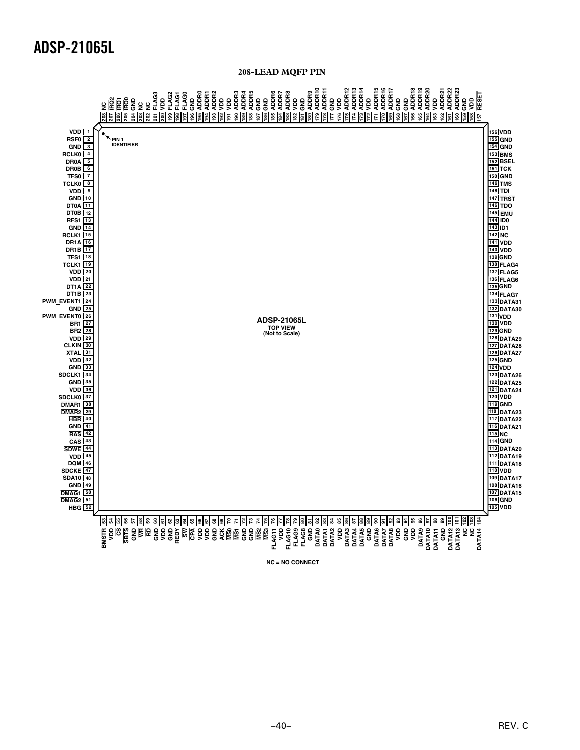### **208-LEAD MQFP PIN**



REV. C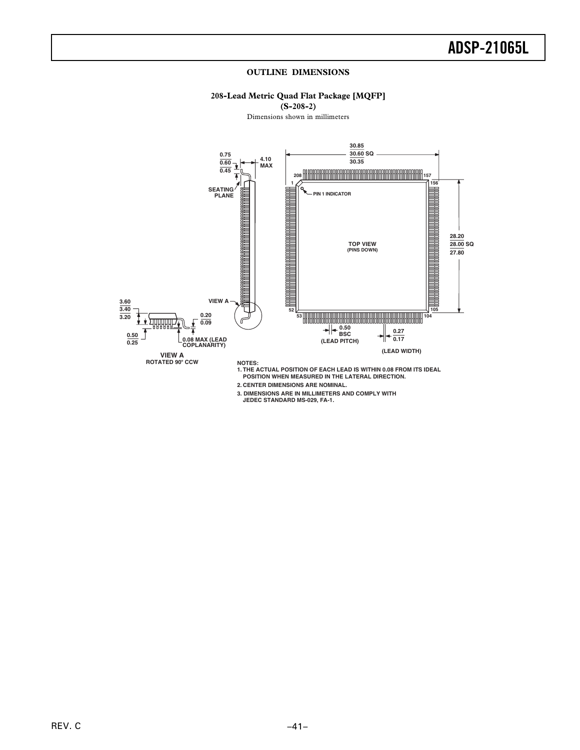#### **OUTLINE DIMENSIONS**

### **208-Lead Metric Quad Flat Package [MQFP]**

**(S-208-2)**

Dimensions shown in millimeters



**2. CENTER DIMENSIONS ARE NOMINAL.**

**3. DIMENSIONS ARE IN MILLIMETERS AND COMPLY WITH JEDEC STANDARD MS-029, FA-1.**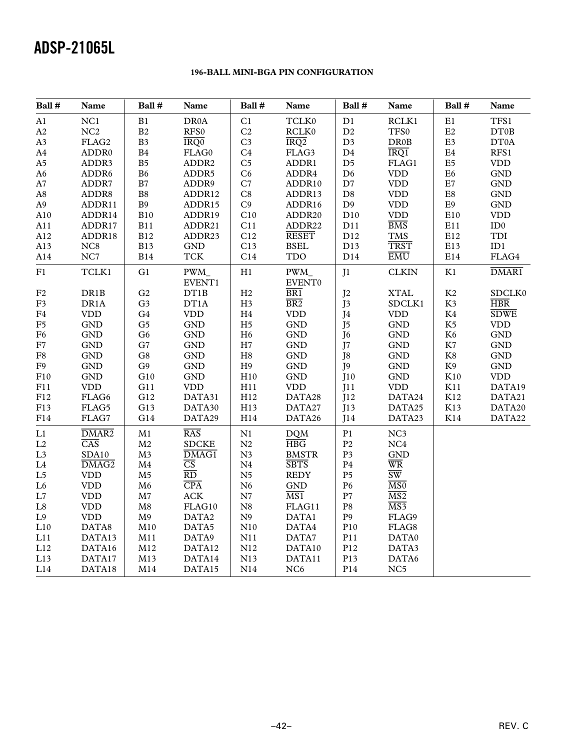### **196-BALL MINI-BGA PIN CONFIGURATION**

| Ball #                 | Name                        | Ball #         | Name                   | Ball #         | Name             | Ball #         | Name                        |            | Name                 |
|------------------------|-----------------------------|----------------|------------------------|----------------|------------------|----------------|-----------------------------|------------|----------------------|
| A1                     | NC1                         | B1             | DR0A                   | C1             | TCLK0            | D1             | RCLK1                       |            | TFS1                 |
| A2                     | NC2                         | $\mathbf{B}2$  | RFS0                   | C <sub>2</sub> | RCLK0            | D2             | TFS0                        | $\rm E2$   | DT0B                 |
| A3                     | FLAG2                       | B <sub>3</sub> | IRQ0                   | C <sub>3</sub> | IRQ2             | D <sub>3</sub> | <b>DR0B</b>                 | E3         | DT0A                 |
| A4                     | ADDR0                       | $\mathbf{B}4$  | FLAG0                  | C <sub>4</sub> | FLAG3            | $\mathbf{D}4$  | IRQ1                        | $\rm E4$   | RFS1                 |
| $\rm A5$               | ADDR3                       | B <sub>5</sub> | ADDR <sub>2</sub>      | C <sub>5</sub> | ADDR1            | D <sub>5</sub> | FLAG1                       | $\rm E5$   | <b>VDD</b>           |
| A6                     | ADDR6                       | ${\bf B6}$     | ADDR5                  | C6             | ADDR4            | D6             | <b>VDD</b>                  | ${\rm E6}$ | <b>GND</b>           |
| $\rm A7$               | ADDR7                       | $\mathbf{B}7$  | ADDR9                  | $\mathbf{C}7$  | ADDR10           | $\mathbf{D}7$  | <b>VDD</b>                  | $\rm E7$   | $\operatorname{GND}$ |
| $\rm A8$               | ADDR8                       | $\mathbf{B}8$  | ADDR12                 | C8             | ADDR13           | $\mathbf{D}8$  | <b>VDD</b>                  | E8         | <b>GND</b>           |
| A9                     | ADDR11                      | B9             | ADDR15                 | C9             | ADDR16           | D <sub>9</sub> | <b>VDD</b>                  | $\rm E9$   | <b>GND</b>           |
| A10                    | ADDR14                      | B10            | ADDR19                 | C10            | ADDR20           | D10            | $\ensuremath{\mathrm{VDD}}$ | E10        | <b>VDD</b>           |
| A11                    | ADDR17                      | <b>B11</b>     | ADDR21                 | C11            | ADDR22           | D11            | $\overline{BMS}$            | E11        | ID0                  |
| A12                    | ADDR18                      | <b>B12</b>     | ADDR23                 | C12            | <b>RESET</b>     | D12            | <b>TMS</b>                  | E12        | TDI                  |
| A13                    | NC8                         | <b>B13</b>     | <b>GND</b>             | C13            | <b>BSEL</b>      | D13            | <b>TRST</b>                 | E13        | ID1                  |
| A14                    | NC7                         | <b>B14</b>     | <b>TCK</b>             | C14            | <b>TDO</b>       | D14            | EMU                         | E14        | $\rm{FLAG4}$         |
| ${\rm F}1$             | TCLK1                       | G1             | PWM_                   | H1             | PWM_             | J <sub>1</sub> | <b>CLKIN</b>                | K1         | DMAR <sub>1</sub>    |
|                        |                             |                | EVENT1                 |                | EVENT0           |                |                             |            |                      |
| F <sub>2</sub>         | DR1B                        | G <sub>2</sub> | DT1B                   | H2             | $\overline{BR1}$ | J <sub>2</sub> | <b>XTAL</b>                 | K2         | SDCLK0               |
| $\rm F3$               | DR1A                        | G <sub>3</sub> | DT1A                   | H <sub>3</sub> | $\overline{BR2}$ | J3             | SDCLK1                      | K3         | <b>HBR</b>           |
| ${\rm F}4$             | <b>VDD</b>                  | G4             | <b>VDD</b>             | $\rm H4$       | <b>VDD</b>       | J4             | $\ensuremath{\mathrm{VDD}}$ | $\rm K4$   | <b>SDWE</b>          |
| ${\rm F}5$             | <b>GND</b>                  | G <sub>5</sub> | <b>GND</b>             | H <sub>5</sub> | <b>GND</b>       | J <sub>5</sub> | $\operatorname{GND}$        | K5         | <b>VDD</b>           |
| ${\rm F6}$             | <b>GND</b>                  | G <sub>6</sub> | GND                    | H6             | <b>GND</b>       | J <sub>6</sub> | $\operatorname{GND}$        | K6         | <b>GND</b>           |
| ${\rm F}7$             | <b>GND</b>                  | G7             | $\operatorname{GND}$   | $\rm H7$       | <b>GND</b>       | J7             | <b>GND</b>                  | $\rm K7$   | $\operatorname{GND}$ |
| ${\rm F}8$             | <b>GND</b>                  | G8             | <b>GND</b>             | H8             | <b>GND</b>       | J8             | $\operatorname{GND}$        | $\rm K8$   | $\operatorname{GND}$ |
| ${\rm F}9$             | <b>GND</b>                  | G9             | $\operatorname{GND}$   | H9             | <b>GND</b>       | J <sub>9</sub> | $\operatorname{GND}$        | K9         | $\operatorname{GND}$ |
| F10                    | <b>GND</b>                  | G10            | <b>GND</b>             | H10            | <b>GND</b>       | J10            | <b>GND</b>                  | K10        | <b>VDD</b>           |
| F11                    | <b>VDD</b>                  | G11            | <b>VDD</b>             | H11            | <b>VDD</b>       | J11            | <b>VDD</b>                  | K11        | DATA19               |
| ${\rm F}12$            | $\rm{FLAG6}$                | G12            | DATA31                 | H12            | DATA28           | J12            | DATA24                      | $\rm K12$  | DATA21               |
| F13                    | FLAG5                       | G13            | DATA30                 | H13            | DATA27           | J13            | DATA25                      | K13        | DATA20               |
| F14                    | $\rm{FLAG7}$                | G14            | DATA29                 | H14            | DATA26           | J14            | DATA23                      | K14        | DATA22               |
| $\mathop{\mathrm{L}1}$ | DMAR <sub>2</sub>           | $\mathbf{M}1$  | RAS                    | N1             | <b>DQM</b>       | P1             | NC3                         |            |                      |
| L2                     | $\overline{\text{CAS}}$     | M <sub>2</sub> | <b>SDCKE</b>           | N2             | HBG              | P <sub>2</sub> | NC4                         |            |                      |
| L <sub>3</sub>         | SDA10                       | M <sub>3</sub> | DMAG1                  | N <sub>3</sub> | <b>BMSTR</b>     | P <sub>3</sub> | $\operatorname{GND}$        |            |                      |
| $\operatorname{L4}$    | DMAG <sub>2</sub>           | M4             | $\overline{\text{CS}}$ | ${\bf N}4$     | <b>SBTS</b>      | $\mathbf{P}4$  | $\overline{\text{WR}}$      |            |                      |
| L <sub>5</sub>         | <b>VDD</b>                  | M <sub>5</sub> | $\overline{RD}$        | N <sub>5</sub> | <b>REDY</b>      | P <sub>5</sub> | $\overline{\text{SW}}$      |            |                      |
| L6                     | <b>VDD</b>                  | M6             | CPA                    | N6             | <b>GND</b>       | P <sub>6</sub> | $\overline{\text{MS0}}$     |            |                      |
| $\mathbf{L}7$          | <b>VDD</b>                  | M <sub>7</sub> | ACK                    | ${\bf N7}$     | $\overline{MS1}$ | P7             | $\overline{\text{MS2}}$     |            |                      |
| $\operatorname{L8}$    | <b>VDD</b>                  | ${\bf M8}$     | FLAG10                 | ${\bf N}8$     | FLAG11           | $\mathbf{P}8$  | $\overline{MS3}$            |            |                      |
| $\;$ L9 $\;$           | $\ensuremath{\mathrm{VDD}}$ | M <sub>9</sub> | DATA2                  | ${\bf N}9$     | DATA1            | $\mathbf{P}9$  | FLAG9                       |            |                      |
| L10                    | DATA8                       | M10            | DATA5                  | N10            | DATA4            | P10            | FLAG8                       |            |                      |
| L11                    | DATA13                      | M11            | DATA9                  | N11            | DATA7            | P11            | DATA0                       |            |                      |
| L12                    | DATA16                      | M12            | DATA12                 | N12            | DATA10           | P12            | DATA3                       |            |                      |
| L13                    | DATA17                      | M13            | DATA14                 | N13            | DATA11           | P13            | DATA6                       |            |                      |
| L14                    | DATA18                      | M14            | DATA15                 | N14            | NC <sub>6</sub>  | P14            | NC <sub>5</sub>             |            |                      |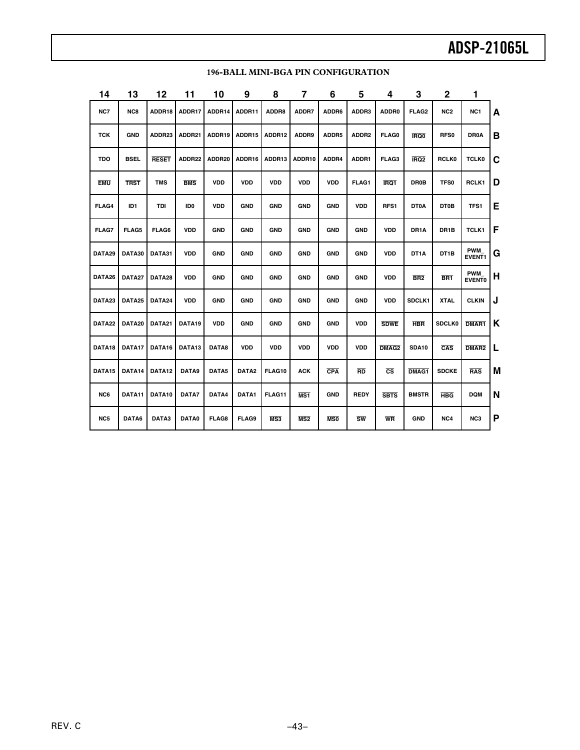| 14                 | 13              | 12           | 11              | 10           | 9                 | 8          | 7               | 6          | 5                      | 4                      | 3                 | 2                 | 1                           |   |
|--------------------|-----------------|--------------|-----------------|--------------|-------------------|------------|-----------------|------------|------------------------|------------------------|-------------------|-------------------|-----------------------------|---|
| NC7                | NC8             | ADDR18       | ADDR17          | ADDR14       | ADDR11            | ADDR8      | ADDR7           | ADDR6      | ADDR3                  | ADDR0                  | FLAG <sub>2</sub> | NC <sub>2</sub>   | NC <sub>1</sub>             | A |
| TCK                | <b>GND</b>      | ADDR23       | ADDR21          | ADDR19       | ADDR15            | ADDR12     | ADDR9           | ADDR5      | ADDR2                  | FLAG0                  | <b>IRQ0</b>       | RFS0              | DR0A                        | B |
| <b>TDO</b>         | <b>BSEL</b>     | <b>RESET</b> | ADDR22          | ADDR20       | ADDR16            | ADDR13     | ADDR10          | ADDR4      | ADDR1                  | FLAG3                  | IRQ <sub>2</sub>  | <b>RCLK0</b>      | <b>TCLK0</b>                | C |
| <b>EMU</b>         | <b>TRST</b>     | <b>TMS</b>   | <b>BMS</b>      | <b>VDD</b>   | <b>VDD</b>        | <b>VDD</b> | <b>VDD</b>      | <b>VDD</b> | FLAG1                  | IRQ1                   | <b>DR0B</b>       | <b>TFS0</b>       | RCLK1                       | D |
| FLAG4              | ID <sub>1</sub> | TDI          | ID <sub>0</sub> | <b>VDD</b>   | <b>GND</b>        | <b>GND</b> | <b>GND</b>      | <b>GND</b> | <b>VDD</b>             | RFS1                   | <b>DT0A</b>       | <b>DT0B</b>       | TFS1                        | E |
| FLAG7              | FLAG5           | FLAG6        | <b>VDD</b>      | <b>GND</b>   | <b>GND</b>        | <b>GND</b> | <b>GND</b>      | <b>GND</b> | <b>GND</b>             | <b>VDD</b>             | DR <sub>1</sub> A | DR <sub>1</sub> B | TCLK1                       | F |
| DATA29             | DATA30          | DATA31       | <b>VDD</b>      | <b>GND</b>   | <b>GND</b>        | <b>GND</b> | <b>GND</b>      | <b>GND</b> | <b>GND</b>             | <b>VDD</b>             | DT <sub>1</sub> A | DT <sub>1</sub> B | <b>PWM</b><br><b>EVENT1</b> | G |
| DATA26             | DATA27          | DATA28       | <b>VDD</b>      | <b>GND</b>   | <b>GND</b>        | <b>GND</b> | <b>GND</b>      | <b>GND</b> | <b>GND</b>             | <b>VDD</b>             | BR <sub>2</sub>   | BR <sub>1</sub>   | <b>PWM</b><br><b>EVENTO</b> | H |
| DATA23             | DATA25          | DATA24       | <b>VDD</b>      | <b>GND</b>   | <b>GND</b>        | <b>GND</b> | <b>GND</b>      | <b>GND</b> | <b>GND</b>             | <b>VDD</b>             | SDCLK1            | <b>XTAL</b>       | <b>CLKIN</b>                | J |
| DATA22             | DATA20          | DATA21       | DATA19          | <b>VDD</b>   | <b>GND</b>        | <b>GND</b> | <b>GND</b>      | <b>GND</b> | <b>VDD</b>             | <b>SDWE</b>            | <b>HBR</b>        | <b>SDCLK0</b>     | DMAR1                       | Κ |
| DATA <sub>18</sub> | DATA17          | DATA16       | DATA13          | DATA8        | <b>VDD</b>        | <b>VDD</b> | <b>VDD</b>      | <b>VDD</b> | VDD                    | DMAG <sub>2</sub>      | SDA10             | CAS               | DMAR <sub>2</sub>           | L |
| DATA15             | DATA14          | DATA12       | DATA9           | DATA5        | DATA <sub>2</sub> | FLAG10     | <b>ACK</b>      | <b>CPA</b> | RD                     | $\overline{\text{cs}}$ | DMAG1             | <b>SDCKE</b>      | <b>RAS</b>                  | M |
| NC6                | DATA11          | DATA10       | DATA7           | DATA4        | DATA1             | FLAG11     | MS <sub>1</sub> | <b>GND</b> | <b>REDY</b>            | <b>SBTS</b>            | <b>BMSTR</b>      | <b>HBG</b>        | <b>DQM</b>                  | N |
| NC5                | DATA6           | DATA3        | DATA0           | <b>FLAG8</b> | FLAG9             | MS3        | MS2             | <b>MSO</b> | $\overline{\text{sw}}$ | <b>WR</b>              | <b>GND</b>        | NC4               | NC3                         | Ρ |

#### **196-BALL MINI-BGA PIN CONFIGURATION**